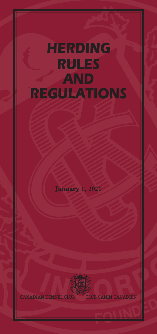# *HERDING RULES AND REGULATIONS*

**January 1, 2021**



**CANADIAN KENNEL CLUB CLUB CANIN CANADIEN**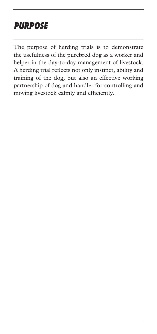# *PURPOSE*

The purpose of herding trials is to demonstrate the usefulness of the purebred dog as a worker and helper in the day-to-day management of livestock. A herding trial reflects not only instinct, ability and training of the dog, but also an effective working partnership of dog and handler for controlling and moving livestock calmly and efficiently.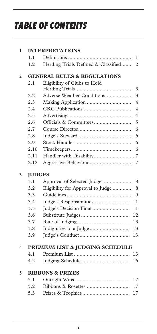# *TABLE OF CONTENTS*

| 1                  | <b>INTERPRETATIONS</b>                 |                                                       |  |  |
|--------------------|----------------------------------------|-------------------------------------------------------|--|--|
|                    | 1.1                                    | 1                                                     |  |  |
|                    | 1.2                                    | Herding Trials Defined & Classified<br>$\overline{2}$ |  |  |
| $\mathfrak{p}$     | <b>GENERAL RULES &amp; REGULATIONS</b> |                                                       |  |  |
|                    | 2.1                                    | Eligibility of Clubs to Hold                          |  |  |
|                    |                                        | 3                                                     |  |  |
|                    | 2.2                                    | Adverse Weather Conditions<br>3                       |  |  |
|                    | 2.3                                    | Making Application<br>$\overline{4}$                  |  |  |
|                    | 2.4                                    | $\overline{4}$                                        |  |  |
|                    | 2.5                                    | 4                                                     |  |  |
|                    | 2.6                                    | 5                                                     |  |  |
|                    | 2.7                                    | 6                                                     |  |  |
|                    | 2.8                                    | 6                                                     |  |  |
|                    | 2.9                                    | 6                                                     |  |  |
|                    | 2.10                                   | 6                                                     |  |  |
|                    | 2.11                                   |                                                       |  |  |
|                    | 2.12                                   | 7                                                     |  |  |
| <b>JUDGES</b><br>3 |                                        |                                                       |  |  |
|                    | 3.1                                    | Approval of Selected Judges<br>8                      |  |  |
|                    | 3.2                                    | Eligibility for Approval to Judge<br>8                |  |  |
|                    | 3.3                                    | 9                                                     |  |  |
|                    | 3.4                                    | 11                                                    |  |  |
|                    | 3.5                                    | Judge's Decision Final<br>11                          |  |  |
|                    | 3.6                                    | 12                                                    |  |  |
|                    | 3.7                                    | 13                                                    |  |  |
|                    | 3.8                                    | 13                                                    |  |  |
|                    | 3.9                                    | 13                                                    |  |  |
| 4                  | PREMIUM LIST & JUDGING SCHEDULE        |                                                       |  |  |
|                    | 4.1                                    | 13                                                    |  |  |
|                    | 4.2                                    | 16                                                    |  |  |
| 5                  |                                        | <b>RIBBONS &amp; PRIZES</b>                           |  |  |
|                    | 5.1                                    | 17                                                    |  |  |
|                    | 5.2                                    | 17                                                    |  |  |
|                    | 5.3                                    | 17                                                    |  |  |
|                    |                                        |                                                       |  |  |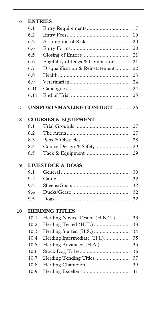| 6  | <b>ENTRIES</b>                 |                                   |    |
|----|--------------------------------|-----------------------------------|----|
|    | 6.1                            |                                   | 17 |
|    | 6.2                            |                                   | 19 |
|    | 6.3                            |                                   | 20 |
|    | 6.4                            |                                   | 20 |
|    | 6.5                            |                                   | 21 |
|    | 6.6                            | Eligibility of Dogs & Competitors | 21 |
|    | 6.7                            | Disqualification & Reinstatement  | 22 |
|    | 6.8                            |                                   | 23 |
|    | 6.9                            |                                   | 24 |
|    | 6.10                           |                                   | 24 |
|    | 6.11                           |                                   | 25 |
| 7  |                                | <b>UNSPORTSMANLIKE CONDUCT </b>   | 26 |
| 8  | <b>COURSES &amp; EQUIPMENT</b> |                                   |    |
|    | 8.1                            |                                   | 27 |
|    | 8.2                            |                                   | 27 |
|    | 8.3                            |                                   | 28 |
|    | 8.4                            | Course Design & Safety            | 29 |
|    | 8.5                            |                                   | 29 |
| 9  | <b>LIVESTOCK &amp; DOGS</b>    |                                   |    |
|    | 9.1                            |                                   | 30 |
|    | 9.2                            |                                   | 32 |
|    | 9.3                            |                                   | 32 |
|    | 9.4                            |                                   | 32 |
|    | 9.5                            |                                   | 32 |
| 10 |                                | <b>HERDING TITLES</b>             |    |
|    | 10.1                           | Herding Novice Tested (H.N.T.)    | 33 |
|    | 10.2                           | Herding Tested (H.T.)             | 33 |
|    | 10.3                           |                                   | 34 |
|    | 10.4                           | Herding Intermediate (H.I.)       | 35 |
|    | 10.5                           | Herding Advanced (H.A.)           | 35 |
|    | 10.6                           |                                   | 36 |
|    | 10.7                           | Herding Tending Titles            | 37 |
|    | 10.8                           |                                   | 39 |
|    | 10.9                           |                                   | 41 |
|    |                                |                                   |    |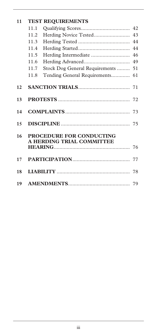| 11 |                                                              | <b>TEST REQUIREMENTS</b>       |    |
|----|--------------------------------------------------------------|--------------------------------|----|
|    | 11.1                                                         |                                | 42 |
|    | 11.2                                                         | Herding Novice Tested          | 43 |
|    | 11.3                                                         |                                | 44 |
|    | 11.4                                                         |                                | 44 |
|    | 11.5                                                         | Herding Intermediate           | 46 |
|    | 11.6                                                         |                                | 49 |
|    | 11.7                                                         | Stock Dog General Requirements | 51 |
|    | 11.8                                                         | Tending General Requirements   | 61 |
|    |                                                              |                                |    |
| 12 |                                                              |                                |    |
| 13 |                                                              |                                |    |
| 14 |                                                              |                                |    |
| 15 |                                                              |                                |    |
| 16 | <b>PROCEDURE FOR CONDUCTING</b><br>A HERDING TRIAL COMMITTEE |                                |    |
| 17 |                                                              |                                |    |
| 18 |                                                              |                                |    |
| 19 |                                                              |                                |    |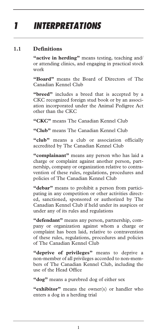# *1 INTERPRETATIONS*

#### **1.1 Definitions**

**"active in herding"** means testing, teaching and/ or attending clinics, and engaging in practical stock work

**"Board"** means the Board of Directors of The Canadian Kennel Club

**"breed"** includes a breed that is accepted by a CKC recognized foreign stud book or by an association incorporated under the Animal Pedigree Act other than the CKC

**"CKC"** means The Canadian Kennel Club

**"Club"** means The Canadian Kennel Club

**"club"** means a club or association officially accredited by The Canadian Kennel Club

**"complainant"** means any person who has laid a charge or complaint against another person, partnership, company or organization relative to contravention of these rules, regulations, procedures and policies of The Canadian Kennel Club

**"debar"** means to prohibit a person from participating in any competition or other activities directed, sanctioned, sponsored or authorized by The Canadian Kennel Club if held under its auspices or under any of its rules and regulations

**"defendant"** means any person, partnership, company or organization against whom a charge or complaint has been laid, relative to contravention of these rules, regulations, procedures and policies of The Canadian Kennel Club

**"deprive of privileges"** means to deprive a non-member of all privileges accorded to non-members of The Canadian Kennel Club, including the use of the Head Office

**"dog"** means a purebred dog of either sex

**"exhibitor"** means the owner(s) or handler who enters a dog in a herding trial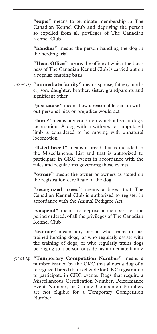**"expel"** means to terminate membership in The Canadian Kennel Club and depriving the person so expelled from all privileges of The Canadian Kennel Club

**"handler"** means the person handling the dog in the herding trial

**"Head Office"** means the office at which the business of The Canadian Kennel Club is carried out on a regular ongoing basis

**"immediate family"** means spouse, father, moth-*(09-06-18)* er, son, daughter, brother, sister, grandparents and significant other

> **"just cause"** means how a reasonable person without personal bias or prejudice would act

> **"lame"** means any condition which affects a dog's locomotion. A dog with a withered or amputated limb is considered to be moving with unnatural locomotion

> **"listed breed"** means a breed that is included in the Miscellaneous List and that is authorized to participate in CKC events in accordance with the rules and regulations governing those events

> **"owner"** means the owner or owners as stated on the registration certificate of the dog

> **"recognized breed"** means a breed that The Canadian Kennel Club is authorized to register in accordance with the Animal Pedigree Act

> **"suspend"** means to deprive a member, for the period ordered, of all the privileges of The Canadian Kennel Club

> **"trainer"** means any person who trains or has trained herding dogs, or who regularly assists with the training of dogs, or who regularly trains dogs belonging to a person outside his immediate family

**"Temporary Competition Number"** means a *(01-05-18)* number isssued by the CKC that allows a dog of a recognized breed that is eligible for CKC registration to participate in CKC events. Dogs that require a Miscellaneous Certification Number, Performance Event Number, or Canine Companion Number, are not eligible for a Temporary Competition Number.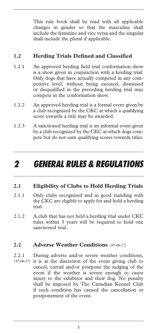This rule book shall be read with all applicable changes in gender so that the masculine shall include the feminine and vice versa and the singular shall include the plural if applicable.

#### **1.2 Herding Trials Defined and Classified**

- 1.2.1 An approved herding field trial conformation show is a show given in conjunction with a herding trial. Only dogs that have actually competed in any competitive level, without being excused, dismissed or disqualified in the preceding herding trial may compete in the conformation show.
- 1.2.2 An approved herding trial is a formal event given by a club recognized by the CKC at which a qualifying score towards a title may be awarded.
- 1.2.3 A sanctioned herding trial is an informal event given by a club recognized by the CKC at which dogs compete but do not earn qualifying scores towards titles.

### *2 GENERAL RULES & REGULATIONS*

#### **2.1 Eligibility of Clubs to Hold Herding Trials**

- 2.1.1 Only clubs recognized and in good standing with the CKC are eligible to apply for and hold a herding trial.
- 2.1.2 A club that has not held a herding trial under CKC rules within 3 years will be required to hold one sanctioned trial.

#### **2.2 Adverse Weather Conditions** *(47-06-17)*

2.2.1 During adverse and/or severe weather conditions, (47-06-17) it is at the discretion of the event giving club to cancel, curtail and/or postpone the judging of the event if the weather is severe enough to cause injury to the exhibitor and their dog. No penalty shall be imposed by The Canadian Kennel Club if such condition has caused the cancellation or postponement of the event.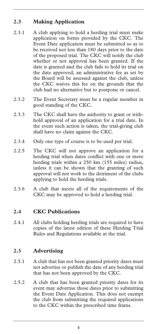#### **2.3 Making Application**

- 2.3.1 A club applying to hold a herding trial must make application on forms provided by the CKC. The Event Date application must be submitted so as to be received not less than 180 days prior to the date of the proposed trial. The CKC will notify the club whether or not approval has been granted. If the date is granted and the club fails to hold its trial on the date approved, an administrative fee as set by the Board will be assessed against the club, unless the CKC waives this fee on the grounds that the club had no alternative but to postpone or cancel.
- 2.3.2 The Event Secretary must be a regular member in good standing of the CKC.
- 2.3.3 The CKC shall have the authority to grant or withhold approval of an application for a trial date. In the event such action is taken, the trial-giving club shall have no claim against the CKC.
- 2.3.4 Only one type of course is to be used per trial.
- 2.2.5 The CKC will not approve an application for a herding trial when dates conflict with one or more herding trials within a 250 km (155 miles) radius, unless it can be shown that the granting of such approval will not work to the detriment of the clubs applying to hold the herding trials.
- 2.3.6 A club that meets all of the requirements of the CKC may be approved to hold a herding trial.

#### **2.4 CKC Publications**

2.4.1 All clubs holding herding trials are required to have copies of the latest edition of these Herding Trial Rules and Regulations available at the trial.

#### **2.5 Advertising**

- 2.5.1 A club that has not been granted priority dates must not advertise or publish the date of any herding trial that has not been approved by the CKC.
- 2.5.2 A club that has been granted priority dates for its event may advertise those dates prior to submitting the Event Date Application. This does not exempt the club from submitting the required applications to the CKC within the prescribed time frame.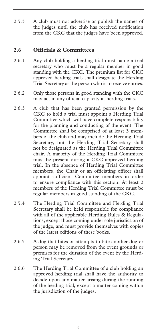2.5.3 A club must not advertise or publish the names of the judges until the club has received notification from the CKC that the judges have been approved.

#### **2.6 Officials & Committees**

- 2.6.1 Any club holding a herding trial must name a trial secretary who must be a regular member in good standing with the CKC. The premium list for CKC approved herding trials shall designate the Herding Trial Secretary as the person who is to receive entries.
- 2.6.2 Only those persons in good standing with the CKC may act in any official capacity at herding trials.
- 2.6.3 A club that has been granted permission by the CKC to hold a trial must appoint a Herding Trial Committee which will have complete responsibility for the planning and conducting of the event. The Committee shall be comprised of at least 3 members of the club and may include the Herding Trial Secretary, but the Herding Trial Secretary shall not be designated as the Herding Trial Committee chair. A majority of the Herding Trial Committee must be present during a CKC approved herding trial. In the absence of Herding Trial Committee members, the Chair or an officiating officer shall appoint sufficient Committee members in order to ensure compliance with this section. At least 2 members of the Herding Trial Committee must be regular members in good standing of the CKC.
- 2.5.4 The Herding Trial Committee and Herding Trial Secretary shall be held responsible for compliance with all of the applicable Herding Rules & Regulations, except those coming under sole jurisdiction of the judge, and must provide themselves with copies of the latest editions of these books.
- 2.6.5 A dog that bites or attempts to bite another dog or person may be removed from the event grounds or premises for the duration of the event by the Herding Trial Secretary.
- 2.6.6 The Herding Trial Committee of a club holding an approved herding trial shall have the authority to decide upon any matter arising during the running of the herding trial, except a matter coming within the jurisdiction of the judges.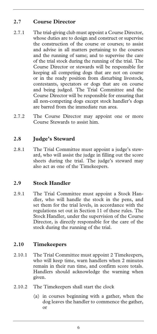#### **2.7 Course Director**

- 2.7.1 The trial-giving club must appoint a Course Director, whose duties are to design and construct or supervise the construction of the course or courses; to assist and advise in all matters pertaining to the courses and the running of same; and to supervise the care of the trial stock during the running of the trial. The Course Director or stewards will be responsible for keeping all competing dogs that are not on course or in the ready position from disturbing livestock, contestants, spectators or dogs that are on course and being judged. The Trial Committee and the Course Director will be responsible for ensuring that all non-competing dogs except stock handler's dogs are barred from the immediate run area.
- 2.7.2 The Course Director may appoint one or more Course Stewards to assist him.

#### **2.8 Judge's Steward**

2.8.1 The Trial Committee must appoint a judge's steward, who will assist the judge in filling out the score sheets during the trial. The judge's steward may also act as one of the Timekeepers.

#### **2.9 Stock Handler**

2.9.1 The Trial Committee must appoint a Stock Handler, who will handle the stock in the pens, and set them for the trial levels, in accordance with the regulations set out in Section 11 of these rules. The Stock Handler, under the supervision of the Course Director, is directly responsible for the care of the stock during the running of the trial.

#### **2.10 Timekeepers**

- 2.10.1 The Trial Committee must appoint 2 Timekeepers, who will keep time, warn handlers when 2 minutes remain in their run time, and confirm score totals. Handlers should acknowledge the warning when given.
- 2.10.2 The Timekeepers shall start the clock
	- (a) in courses beginning with a gather, when the dog leaves the handler to commence the gather, or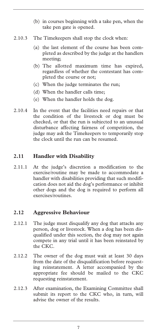- (b) in courses beginning with a take pen, when the take pen gate is opened.
- 2.10.3 The Timekeepers shall stop the clock when:
	- (a) the last element of the course has been completed as described by the judge at the handlers meeting;
	- (b) The allotted maximum time has expired, regardless of whether the contestant has completed the course or not;
	- (c) When the judge terminates the run;
	- (d) When the handler calls time;
	- (e) When the handler holds the dog.
- 2.10.4 In the event that the facilities need repairs or that the condition of the livestock or dog must be checked, or that the run is subjected to an unusual disturbance affecting fairness of competition, the judge may ask the Timekeepers to temporarily stop the clock until the run can be resumed.

#### **2.11 Handler with Disability**

2.11.1 At the judge's discretion a modification to the exercise/routine may be made to accommodate a handler with disabilities providing that such modification does not aid the dog's performance or inhibit other dogs and the dog is required to perform all exercises/routines.

#### **2.12 Aggressive Behaviour**

- 2.12.1 The judge must disqualify any dog that attacks any person, dog or livestock. When a dog has been disqualified under this section, the dog may not again compete in any trial until it has been reinstated by the CKC.
- 2.12.2 The owner of the dog must wait at least 30 days from the date of the disqualification before requesting reinstatement. A letter accompanied by the appropriate fee should be mailed to the CKC requesting reinstatement.
- 2.12.3 After examination, the Examining Committee shall submit its report to the CKC who, in turn, will advise the owner of the results.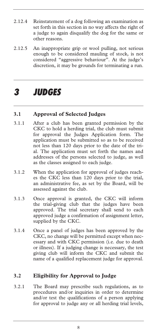- 2.12.4 Reinstatement of a dog following an examination as set forth in this section in no way affects the right of a judge to again disqualify the dog for the same or other reasons.
- 2.12.5 An inappropriate grip or wool pulling, not serious enough to be considered mauling of stock, is not considered "aggressive behaviour". At the judge's discretion, it may be grounds for terminating a run.

### *3 JUDGES*

#### **3.1 Approval of Selected Judges**

- 3.1.1 After a club has been granted permission by the CKC to hold a herding trial, the club must submit for approval the Judges Application form. The application must be submitted so as to be received not less than 120 days prior to the date of the trial. The application must set forth the names and addresses of the persons selected to judge, as well as the classes assigned to each judge.
- 3.1.2 When the application for approval of judges reaches the CKC less than 120 days prior to the trial, an administrative fee, as set by the Board, will be assessed against the club.
- 3.1.3 Once approval is granted, the CKC will inform the trial-giving club that the judges have been approved. The trial secretary shall send to each approved judge a confirmation of assignment letter, supplied by the CKC.
- 3.1.4 Once a panel of judges has been approved by the CKC, no change will be permitted except when necessary and with CKC permission (i.e. due to death or illness). If a judging change is necessary, the test giving club will inform the CKC and submit the name of a qualified replacement judge for approval.

#### **3.2 Eligibility for Approval to Judge**

3.2.1 The Board may prescribe such regulations, as to procedures and/or inquiries in order to determine and/or test the qualifications of a person applying for approval to judge any or all herding trial levels,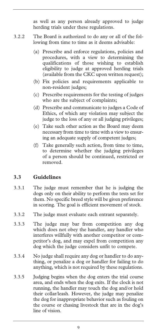as well as any person already approved to judge herding trials under these regulations.

- 3.2.2 The Board is authorized to do any or all of the following from time to time as it deems advisable:
	- (a) Prescribe and enforce regulations, policies and procedures, with a view to determining the qualifications of those wishing to establish eligibility to judge at approved herding trials (available from the CKC upon written request);
	- (b) Fix policies and requirements applicable to non-resident judges;
	- (c) Prescribe requirements for the testing of judges who are the subject of complaints;
	- (d) Prescribe and communicate to judges a Code of Ethics, of which any violation may subject the judge to the loss of any or all judging privileges;
	- (e) Take such other action as the Board may deem necessary from time to time with a view to ensuring an adequate supply of competent judges;
	- (f) Take generally such action, from time to time, to determine whether the judging privileges of a person should be continued, restricted or removed.

#### **3.3 Guidelines**

- 3.3.1 The judge must remember that he is judging the dogs only on their ability to perform the tests set for them. No specific breed style will be given preference in scoring. The goal is efficient movement of stock.
- 3.3.2 The judge must evaluate each entrant separately.
- 3.3.3 The judge may bar from competition any dog which does not obey the handler, any handler who interferes willfully with another competitor or competitor's dog, and may expel from competition any dog which the judge considers unfit to compete.
- 3.3.4 No judge shall require any dog or handler to do anything, or penalize a dog or handler for failing to do anything, which is not required by these regulations.
- 3.3.5 Judging begins when the dog enters the trial course area, and ends when the dog exits. If the clock is not running, the handler may touch the dog and/or hold their collar/leash. However, the judge may penalize the dog for inappropriate behavior such as fouling on the course or chasing livestock that are in the dog's line of vision.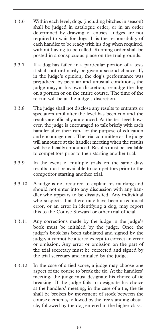- 3.3.6 Within each level, dogs (including bitches in season) shall be judged in catalogue order, or in an order determined by drawing of entries. Judges are not required to wait for dogs. It is the responsibility of each handler to be ready with his dog when required, without having to be called. Running order shall be posted in a conspicuous place on the trial grounds.
- 3.3.7 If a dog has failed in a particular portion of a test, it shall not ordinarily be given a second chance. If, in the judge's opinion, the dog's performance was prejudiced by peculiar and unusual conditions, the judge may, at his own discretion, re-judge the dog on a portion or on the entire course. The time of the re-run will be at the judge's discretion.
- 3.3.8 The judge shall not disclose any results to entrants or spectators until after the level has been run and the results are officially announced. At the test level however, the judge is encouraged to talk briefly with each handler after their run, for the purpose of education and encouragement. The trial committee or the judge will announce at the handler meeting when the results will be officially announced. Results must be available to competitors prior to their starting another trial.
- 3.3.9 In the event of multiple trials on the same day, results must be available to competitors prior to the competitor starting another trial.
- 3.3.10 A judge is not required to explain his marking and should not enter into any discussion with any handler who appears to be dissatisfied. Any individual who suspects that there may have been a technical error, or an error in identifying a dog, may report this to the Course Steward or other trial official.
- 3.3.11 Any corrections made by the judge in the judge's book must be initialed by the judge. Once the judge's book has been tabulated and signed by the judge, it cannot be altered except to correct an error or omission. Any error or omission on the part of the trial secretary must be corrected and signed by the trial secretary and initialed by the judge.
- 3.3.12 In the case of a tied score, a judge may choose one aspect of the course to break the tie. At the handlers' meeting, the judge must designate his choice of tie breaking. If the judge fails to designate his choice at the handlers' meeting, in the case of a tie, the tie shall be broken by movement of stock between the course elements, followed by the free standing obstacle, followed by the dog entered in the higher class.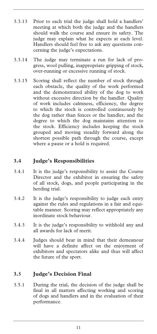- 3.3.13 Prior to each trial the judge shall hold a handlers' meeting at which both the judge and the handlers should walk the course and ensure its safety. The judge may explain what he expects at each level. Handlers should feel free to ask any questions concerning the judge's expectations.
- 3.3.14 The judge may terminate a run for lack of progress, wool pulling, inappropriate gripping of stock, over-running or excessive running of stock.
- 3.3.15 Scoring shall reflect the number of stock through each obstacle, the quality of the work performed and the demonstrated ability of the dog to work without excessive direction by the handler. Quality of work includes calmness, efficiency, the degree to which the stock is controlled continuously by the dog rather than fences or the handler, and the degree to which the dog maintains attention to the stock. Efficiency includes keeping the stock grouped and moving steadily forward along the shortest possible path through the course, except where a pause or a hold is required.

#### **3.4 Judge's Responsibilities**

- 3.4.1 It is the judge's responsibility to assist the Course Director and the exhibitor in ensuring the safety of all stock, dogs, and people participating in the herding trial.
- 3.4.2 It is the judge's responsibility to judge each entry against the rules and regulations in a fair and equitable manner. Scoring may reflect appropriately any inordinate stock behaviour.
- 3.4.3 It is the judge's responsibility to withhold any and all awards for lack of merit.
- 3.4.4 Judges should bear in mind that their demeanour will have a definite affect on the enjoyment of exhibitors and spectators alike and thus will affect the future of the sport.

#### **3.5 Judge's Decision Final**

3.5.1 During the trial, the decision of the judge shall be final in all matters affecting working and scoring of dogs and handlers and in the evaluation of their performance.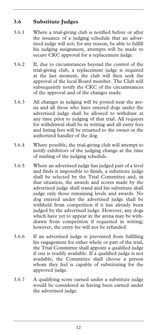#### **3.6 Substitute Judges**

- 3.6.1 Where a trial-giving club is notified before or after the issuance of a judging schedule that an advertised judge will not, for any reason, be able to fulfill his judging assignment, attempts will be made to secure CKC approval for a replacement judge.
- 3.6.2 If, due to circumstances beyond the control of the trial-giving club, a replacement judge is required at the last moment, the club will then seek the approval of the local Board member. The Club will subsequently notify the CKC of the circumstances of the approval and of the changes made.
- 3.6.3 All changes in judging will be posted near the arena and all those who have entered dogs under the advertised judge shall be allowed to withdraw at any time prior to judging of that trial. All requests for withdrawal shall be in writing and all entry fees and listing fees will be returned to the owner or the authorized handler of the dog.
- 3.6.4 Where possible, the trial-giving club will attempt to notify exhibitors of the judging change at the time of mailing of the judging schedule.
- 3.6.5 Where an advertised judge has judged part of a level and finds it impossible to finish, a substitute judge shall be selected by the Trial Committee and, in that situation, the awards and scores made by the advertised judge shall stand and his substitute shall judge only those remaining levels and awards. No dog entered under the advertised judge shall be withheld from competition if it has already been judged by the advertised judge. However, any dogs which have yet to appear in the arena may be withdrawn from competition if requested in writing; however, the entry fee will not be refunded.
- 3.6.6 If an advertised judge is prevented from fulfilling his engagement for either whole or part of the trial, the Trial Committee shall appoint a qualified judge if one is readily available. If a qualified judge is not available, the Committee shall choose a person whom they feel is capable of substituting for the approved judge.
- 3.6.7 A qualifying score earned under a substitute judge would be considered as having been earned under the advertised judge.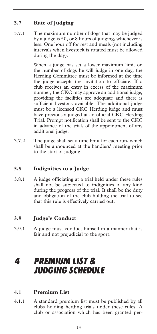#### **3.7 Rate of Judging**

3.7.1 The maximum number of dogs that may be judged by a judge is 50, or 8 hours of judging, whichever is less. One hour off for rest and meals (not including intervals when livestock is rotated must be allowed during the day).

> When a judge has set a lower maximum limit on the number of dogs he will judge in one day, the Herding Committee must be informed at the time the judge accepts the invitation to officiate. If a club receives an entry in excess of the maximum number, the CKC may approve an additional judge, providing the facilities are adequate and there is sufficient livestock available. The additional judge must be a licensed CKC Herding judge and must have previously judged at an official CKC Herding Trial. Prompt notification shall be sent to the CKC in advance of the trial, of the appointment of any additional judge.

3.7.2 The judge shall set a time limit for each run, which shall be announced at the handlers' meeting prior to the start of judging.

#### **3.8 Indignities to a Judge**

3.8.1 A judge officiating at a trial held under these rules shall not be subjected to indignities of any kind during the progress of the trial. It shall be the duty and obligation of the club holding the trial to see that this rule is effectively carried out.

#### **3.9 Judge's Conduct**

3.9.1 A judge must conduct himself in a manner that is fair and not prejudicial to the sport.

### *4 PREMIUM LIST & JUDGING SCHEDULE*

#### **4.1 Premium List**

4.1.1 A standard premium list must be published by all clubs holding herding trials under these rules. A club or association which has been granted per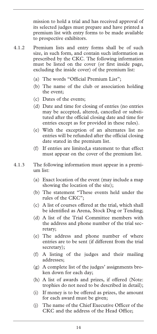mission to hold a trial and has received approval of its selected judges must prepare and have printed a premium list with entry forms to be made available to prospective exhibitors.

- 4.1.2 Premium lists and entry forms shall be of such size, in such form, and contain such information as prescribed by the CKC. The following information must be listed on the cover (or first inside page, excluding the inside cover) of the premium list:
	- (a) The words "Official Premium List";
	- (b) The name of the club or association holding the event;
	- (c) Dates of the events;
	- (d) Date and time for closing of entries (no entries may be accepted, altered, cancelled or substituted after the official closing date and time for entries except as for provided in these rules).
	- (e) With the exception of an alternates list no entries will be refunded after the official closing date stated in the premium list.
	- (f) If entries are limited,a statement to that effect must appear on the cover of the premium list.
- 4.1.3 The following information must appear in a premium list:
	- (a) Exact location of the event (may include a map showing the location of the site);
	- (b) The statement "These events held under the rules of the CKC";
	- (c) A list of courses offered at the trial, which shall be identified as Arena, Stock Dog or Tending;
	- (d) A list of the Trial Committee members with the address and phone number of the trial secretary;
	- (e) The address and phone number of where entries are to be sent (if different from the trial secretary);
	- (f) A listing of the judges and their mailing addresses;
	- (g) A complete list of the judges' assignments broken down for each day;
	- (h) A list of awards and prizes, if offered (Note: trophies do not need to be described in detail);
	- (i) If money is to be offered as prizes, the amount for each award must be given;
	- (j) The name of the Chief Executive Officer of the CKC and the address of the Head Office;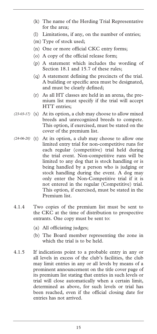- (k) The name of the Herding Trial Representative for the area;
- (l) Limitations, if any, on the number of entries;
- (m) Type of stock used;
- (n) One or more official CKC entry forms;
- (o) A copy of the official release form;
- (p) A statement which includes the wording of Section 18.1 and 15.7 of these rules;
- (q) A statement defining the precincts of the trial. A building or specific area must be designated, and must be clearly defined;
- (r) As all HT classes are held in an arena, the premium list must specify if the trial will accept HTT entries;
- (23-03-17) (s) At its option, a club may choose to allow mixed breeds and unrecognized breeds to compete. This option, if exercised, must be stated on the cover of the premium list.
- (24-06-20) (t) At its option, a club may choose to allow one limited entry trial for non-competitive runs for each regular (competitive) trial held during the trial event. Non-competitive runs will be limited to any dog that is stock handling or is being handled by a person who is judging or stock handling during the event. A dog may only enter the Non-Competitive trial if it is not entered in the regular (Competitive) trial. This option, if exercised, must be stated in the Premium list.
- 4.1.4 Two copies of the premium list must be sent to the CKC at the time of distribution to prospective entrants. One copy must be sent to:
	- (a) All officiating judges;
	- (b) The Board member representing the zone in which the trial is to be held.
- 4.1.5 If indications point to a probable entry in any or all levels in excess of the club's facilities, the club may limit entries in any or all levels by means of a prominent announcement on the title cover page of its premium list stating that entries in such levels or trial will close automatically when a certain limit, determined as above, for such levels or trial has been reached, even if the official closing date for entries has not arrived.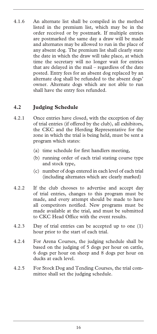4.1.6 An alternate list shall be compiled in the method listed in the premium list, which may be in the order received or by postmark. If multiple entries are postmarked the same day a draw will be made and alternates may be allowed to run in the place of any absent dog. The premium list shall clearly state the date in which the draw will take place, at which time the secretary will no longer wait for entries that are delayed in the mail – regardless of the date posted. Entry fees for an absent dog replaced by an alternate dog shall be refunded to the absent dogs' owner. Alternate dogs which are not able to run shall have the entry fees refunded.

#### **4.2 Judging Schedule**

- 4.2.1 Once entries have closed, with the exception of day of trial entries (if offered by the club), all exhibitors, the CKC and the Herding Representative for the zone in which the trial is being held, must be sent a program which states:
	- (a) time schedule for first handlers meeting,
	- (b) running order of each trial stating course type and stock type,
	- (c) number of dogs entered in each level of each trial (including alternates which are clearly marked)
- 4.2.2 If the club chooses to advertise and accept day of trial entries, changes to this program must be made, and every attempt should be made to have all competitors notified. New programs must be made available at the trial, and must be submitted to CKC Head Office with the event results.
- 4.2.3 Day of trial entries can be accepted up to one (1) hour prior to the start of each trial.
- 4.2.4 For Arena Courses, the judging schedule shall be based on the judging of 5 dogs per hour on cattle, 6 dogs per hour on sheep and 8 dogs per hour on ducks at each level.
- 4.2.5 For Stock Dog and Tending Courses, the trial committee shall set the judging schedule.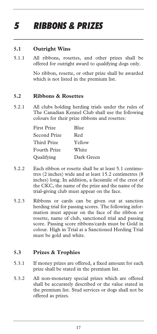# *5 RIBBONS & PRIZES*

#### **5.1 Outright Wins**

5.1.1 All ribbons, rosettes, and other prizes shall be offered for outright award to qualifying dogs only.

> No ribbon, rosette, or other prize shall be awarded which is not listed in the premium list.

#### **5.2 Ribbons & Rosettes**

5.2.1 All clubs holding herding trials under the rules of The Canadian Kennel Club shall use the following colours for their prize ribbons and rosettes:

| First Prize  | Blue       |
|--------------|------------|
| Second Prize | Red        |
| Third Prize  | Yellow     |
| Fourth Prize | White      |
| Qualifying   | Dark Green |

- 5.2.2 Each ribbon or rosette shall be at least 5.1 centimetres (2 inches) wide and at least 15.2 centimetres (8 inches) long. In addition, a facsimile of the crest of the CKC, the name of the prize and the name of the trial-giving club must appear on the face.
- 5.2.3 Ribbons or cards can be given out at sanction herding trial for passing scores. The following information must appear on the face of the ribbon or rosette, name of club, sanctioned trial and passing score. Passing score ribbons/cards must be Gold in colour. High in Trial at a Sanctioned Herding Trial must be gold and white.

#### **5.3 Prizes & Trophies**

- 5.3.1 If money prizes are offered, a fixed amount for each prize shall be stated in the premium list.
- 5.3.2 All non-monetary special prizes which are offered shall be accurately described or the value stated in the premium list. Stud services or dogs shall not be offered as prizes.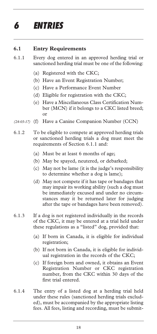# *6 ENTRIES*

#### **6.1 Entry Requirements**

- 6.1.1 Every dog entered in an approved herding trial or sanctioned herding trial must be one of the following:
	- (a) Registered with the CKC;
	- (b) Have an Event Registration Number;
	- (c) Have a Performance Event Number
	- (d) Eligible for registration with the CKC;
	- (e) Have a Miscellaneous Class Certification Number (MCN) if it belongs to a CKC listed breed; or
- (24-03-17) (f) Have a Canine Companion Number (CCN)
- 6.1.2 To be eligible to compete at approved herding trials or sanctioned herding trials a dog must meet the requirements of Section 6.1.1 and:
	- (a) Must be at least 6 months of age;
	- (b) May be spayed, neutered, or debarked;
	- (c) May not be lame (it is the judge's responsibility to determine whether a dog is lame);
	- (d) May not compete if it has tape or bandages that may impair its working ability (such a dog must be immediately excused and under no circumstances may it be returned later for judging after the tape or bandages have been removed).
- 6.1.3 If a dog is not registered individually in the records of the CKC, it may be entered at a trial held under these regulations as a "listed" dog, provided that:
	- (a) If born in Canada, it is eligible for individual registration;
	- (b) If not born in Canada, it is eligible for individual registration in the records of the CKC;
	- (c) If foreign born and owned, it obtains an Event Registration Number or CKC registration number, from the CKC within 30 days of the first trial entered.
- 6.1.4 The entry of a listed dog at a herding trial held under these rules (sanctioned herding trials excluded), must be accompanied by the appropriate listing fees. All fees, listing and recording, must be submit-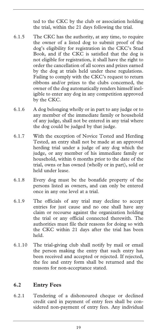ted to the CKC by the club or association holding the trial, within the 21 days following the trial.

- 6.1.5 The CKC has the authority, at any time, to require the owner of a listed dog to submit proof of the dog's eligibility for registration in the CKC's Stud Book, and if the CKC is satisfied that the dog is not eligible for registration, it shall have the right to order the cancellation of all scores and prizes earned by the dog at trials held under these regulations. Failing to comply with the CKC's request to return ribbons and/or prizes to the clubs concerned, the owner of the dog automatically renders himself ineligible to enter any dog in any competition approved by the CKC.
- 6.1.6 A dog belonging wholly or in part to any judge or to any member of the immediate family or household of any judge, shall not be entered in any trial where the dog could be judged by that judge.
- 6.1.7 With the exception of Novice Tested and Herding Tested, an entry shall not be made at an approved herding trial under a judge of any dog which the judge, or any member of his immediate family or household, within 6 months prior to the date of the trial, owns or has owned (wholly or in part), sold or held under lease.
- 6.1.8 Every dog must be the bonafide property of the persons listed as owners, and can only be entered once in any one level at a trial.
- 6.1.9 The officials of any trial may decline to accept entries for just cause and no one shall have any claim or recourse against the organization holding the trial or any official connected therewith. The authorities must file their reasons for doing so with the CKC within 21 days after the trial has been held.
- 6.1.10 The trial-giving club shall notify by mail or email the person making the entry that such entry has been received and accepted or rejected. If rejected, the fee and entry form shall be returned and the reasons for non-acceptance stated.

#### **6.2 Entry Fees**

6.2.1 Tendering of a dishonoured cheque or declined credit card in payment of entry fees shall be considered non-payment of entry fees. Any individual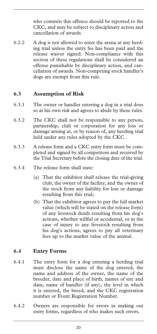who commits this offence should be reported to the CKC, and may be subject to disciplinary action and cancellation of awards.

6.2.2 A dog is not allowed to enter the arena at any herding trial unless the entry fee has been paid and the release waiver signed. Non-compliance with this section of these regulations shall be considered an offense punishable by disciplinary action, and cancellation of awards. Non-competing stock handler's dogs are exempt from this rule.

#### **6.3 Assumption of Risk**

- 6.3.1 The owner or handler entering a dog in a trial does so at his own risk and agrees to abide by these rules.
- 6.3.2 The CKC shall not be responsible to any person, partnership, club or corporation for any loss or damage arising at, or by reason of, any herding trial held under any rules adopted by the CKC.
- 6.3.3 A release form and a CKC entry form must be completed and signed by all competitors and received by the Trial Secretary before the closing date of the trial.
- 6.3.4 The release form shall state:
	- (a) That the exhibitor shall release the trial-giving club, the owner of the facility, and the owner of the stock from any liability for loss or damage resulting from this trial;
	- (b) That the exhibitor agrees to pay the full market value (which will be stated on the release form) of any livestock death resulting from his dog's actions, whether willful or accidental, or in the case of injury to any livestock resulting from his dog's actions, agrees to pay all veterinary fees up to the market value of the animal.

#### **6.4 Entry Forms**

- 6.4.1 The entry form for a dog entering a herding trial must disclose the name of the dog entered, the name and address of the owner, the name of the breeder, date and place of birth, names of sire and dam, name of handler (if any), the level in which it is entered, the breed, and the CKC registration number or Event Registration Number.
- 6.4.2 Owners are responsible for errors in making out entry forms, regardless of who makes such errors.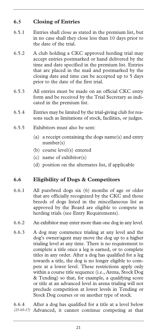#### **6.5 Closing of Entries**

- 6.5.1 Entries shall close as stated in the premium list, but in no case shall they close less than 10 days prior to the date of the trial.
- 6.5.2 A club holding a CKC approved herding trial may accept entries postmarked or hand delivered by the time and date specified in the premium list. Entries that are placed in the mail and postmarked by the closing date and time can be accepted up to 5 days prior to the date of the first trial.
- 6.5.3 All entries must be made on an official CKC entry form and be received by the Trial Secretary as indicated in the premium list.
- 6.5.4 Entries may be limited by the trial-giving club for reasons such as limitations of stock, facilities, or judges.
- 6.5.5 Exhibitors must also be sent:
	- (a) a receipt containing the dogs name(s) and entry number(s)
	- (b) course level(s) entered
	- (c) name of exhibitor(s)
	- (d) position on the alternates list, if applicable

#### **6.6 Eligibility of Dogs & Competitors**

- 6.6.1 All purebred dogs six (6) months of age or older that are officially recognized by the CKC and those breeds of dogs listed in the miscellaneous list as approved by the Board are eligible to compete in herding trials (see Entry Requirements).
- 6.6.2 An exhibitor may enter more than one dog in any level.
- 6.6.3 A dog may commence trialing at any level and the dog's owner/agent may move the dog up to a higher trialing level at any time. There is no requirement to complete a title once a leg is earned, or to complete titles in any order. After a dog has qualified for a leg towards a title, the dog is no longer eligible to compete at a lower level. These restrictions apply only within a course title sequence (i.e., Arena, Stock Dog & Tending) so that, for example, a qualifying score or title at an advanced level in arena trialing will not preclude competition at lower levels in Tending or Stock Dog courses or on another type of stock.

6.6.4 After a dog has qualified for a title at a level below *(25-03-17)* Advanced, it cannot continue competing at that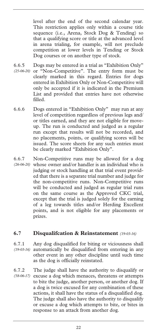level after the end of the second calendar year. This restriction applies only within a course title sequence (i.e., Arena, Stock Dog & Tending) so that a qualifying score or title at the advanced level in arena trialing, for example, will not preclude competition at lower levels in Tending or Stock Dog courses or on another type of stock.

- 6.6.5 Dogs may be entered in a trial as "Exhibition Only" (25-06-20) or "Non-Competitive". The entry form must be clearly marked in this regard. Entries for dogs entered in Exhibition Only or Non-Competitive will only be accepted if it is indicated in the Premium List and provided that entries have not otherwise filled.
- 6.6.6 Dogs entered in "Exhibition Only" may run at any level of competition regardless of previous legs and/ or titles earned, and they are not eligible for moveup. The run is conducted and judged as a regular run except that results will not be recorded, and no placements, points, or qualifying scores will be issued. The score sheets for any such entries must be clearly marked "Exhibition Only".
- 6.6.7 Non-Competitive runs may be allowed for a dog whose owner and/or handler is an individual who is *(26-06-20)*  judging or stock handling at that trial event provided that there is a separate trial number and judge for the non-competitive runs. Non-Competitive runs will be conducted and judged as regular trial runs on the same course as the Approved CKC trial, except that the trial is judged solely for the earning of a leg towards titles and/or Herding Excellent points, and is not eligible for any placements or prizes.

#### **6.7 Disqualifcation & Reinstatement** *(19-03-16)*

- 6.7.1 Any dog disqualified for biting or viciousness shall automatically be disqualified from entering in any *(19-03-16)*  other event in any other discipline until such time as the dog is officially reinstated.
- 6.7.2 The judge shall have the authority to disqualify or (58-06-17) excuse a dog which menaces, threatens or attempts to bite the judge, another person, or another dog. If a dog is twice excused for any combination of these actions, it shall have the status of a disqualified dog. The judge shall also have the authority to disqualify or excuse a dog which attempts to bite, or bites in response to an attack from another dog.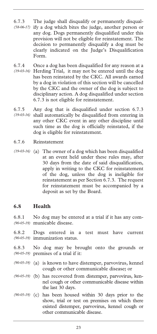- 6.7.3 The judge shall disqualify or permanently disqualify a dog which bites the judge, another person or any dog. Dogs permanently disqualified under this provision will not be eligible for reinstatement. The decision to permanently disqualify a dog must be clearly indicated on the Judge's Disqualification Form. *(58-06-17)*
- 6.7.4 Once a dog has been disqualified for any reason at a Herding Trial, it may not be entered until the dog *(19-03-16)*  has been reinstated by the CKC. All awards earned by a dog in violation of this section will be cancelled by the CKC and the owner of the dog is subject to disciplinary action. A dog disqualified under section 6.7.3 is not eligible for reinstatement.
- 6.7.5 Any dog that is disqualified under section 6.7.3 shall automatically be disqualified from entering in *(19-03-16)*  any other CKC event in any other discipline until such time as the dog is officially reinstated, if the dog is eligible for reinstatement.
- 6.7.6 Reinstatement
- (19-03-16) (a) The owner of a dog which has been disqualified at an event held under these rules may, after 30 days from the date of said disqualification, apply in writing to the CKC for reinstatement of the dog, unless the dog is ineligible for reinstatement as per Section 6.7.3. The request for reinstatement must be accompanied by a deposit as set by the Board.

#### **6.8 Health**

6.8.1 No dog may be entered at a trial if it has any communicable disease. *(90-05-19)* 

- 6.8.2 Dogs entered in a test must have current immunization status. *(90-05-19)*
- 6.8.3 No dog may be brought onto the grounds or premises of a trial if it: *(90-05-19)*
- (90-05-19) (a) is known to have distemper, parvovirus, kennel cough or other communicable disease; or
- (b) has recovered from distemper, parvovirus, ken-*(90-05-19)*  nel cough or other communicable disease within the last 30 days.
- (90-05-19) (c) has been housed within 30 days prior to the show, trial or test on premises on which there existed distemper, parvovirus, kennel cough or other communicable disease.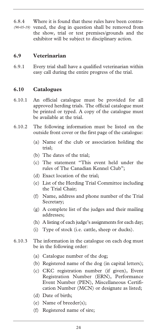6.8.4 Where it is found that these rules have been contra-(90-05-19) vened, the dog in question shall be removed from the show, trial or test premises/grounds and the exhibitor will be subject to disciplinary action.

#### **6.9 Veterinarian**

6.9.1 Every trial shall have a qualified veterinarian within easy call during the entire progress of the trial.

#### **6.10 Catalogues**

- 6.10.1 An official catalogue must be provided for all approved herding trials. The official catalogue must be printed or typed. A copy of the catalogue must be available at the trial.
- 6.10.2 The following information must be listed on the outside front cover or the first page of the catalogue:
	- (a) Name of the club or association holding the trial;
	- (b) The dates of the trial;
	- (c) The statement "This event held under the rules of The Canadian Kennel Club";
	- (d) Exact location of the trial;
	- (e) List of the Herding Trial Committee including the Trial Chair;
	- (f) Name, address and phone number of the Trial Secretary;
	- (g) A complete list of the judges and their mailing addresses;
	- (h) A listing of each judge's assignments for each day;
	- (i) Type of stock (i.e. cattle, sheep or ducks).
- 6.10.3 The information in the catalogue on each dog must be in the following order:
	- (a) Catalogue number of the dog;
	- (b) Registered name of the dog (in capital letters);
	- (c) CKC registration number (if given), Event Registration Number (ERN), Performance Event Number (PEN), Miscellaneous Certification Number (MCN) or designate as listed;
	- (d) Date of birth;
	- (e) Name of breeder(s);
	- (f) Registered name of sire;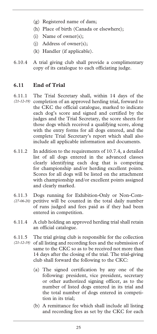- (g) Registered name of dam;
- (h) Place of birth (Canada or elsewhere);
- (i) Name of owner(s);
- (j) Address of owner(s);
- (k) Handler (if applicable).
- 6.10.4 A trial giving club shall provide a complimentary copy of its catalogue to each officiating judge.

#### **6.11 End of Trial**

- 6.11.1 The Trial Secretary shall, within 14 days of the (21-12-19) completion of an approved herding trial, forward to the CKC the official catalogue, marked to indicate each dog's score and signed and certified by the judges and the Trial Secretary, the score sheets for those dogs which received a qualifying score, along with the entry forms for all dogs entered, and the complete Trial Secretary's report which shall also include all applicable information and documents.
- 6.11.2 In addition to the requirements of 10.7.4, a detailed list of all dogs entered in the advanced classes clearly identifying each dog that is competing for championship and/or herding excellent points. Scores for all dogs will be listed on the attachment with championship and/or excellent points assigned and clearly marked.
- 6.11.3 Dogs running for Exhibition-Only or Non-Com-(27-06-20) petitive will be counted in the total daily number of runs judged and fees paid as if they had been entered in competition.
- 6.11.4 A club holding an approved herding trial shall retain an official catalogue.
- 6.11.5 The trial giving club is responsible for the collection (21-12-19) of all listing and recording fees and the submission of same to the CKC so as to be received not more than 14 days after the closing of the trial. The trial-giving club shall forward the following to the CKC:
	- (a) The signed certification by any one of the following: president, vice president, secretary or other authorized signing officer, as to the number of listed dogs entered in its trial and the total number of dogs entered in competition in its trial;
	- (b) A remittance fee which shall include all listing and recording fees as set by the CKC for each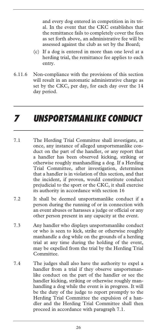and every dog entered in competition in its trial. In the event that the CKC establishes that the remittance fails to completely cover the fees as set forth above, an administrative fee will be assessed against the club as set by the Board;

- (c) If a dog is entered in more than one level at a herding trial, the remittance fee applies to each entry.
- 6.11.6 Non-compliance with the provisions of this section will result in an automatic administrative charge as set by the CKC, per day, for each day over the 14 day period.

### *7 UNSPORTSMANLIKE CONDUCT*

- 7.1 The Herding Trial Committee shall investigate, at once, any instance of alleged unsportsmanlike conduct on the part of the handler, or any report that a handler has been observed kicking, striking or otherwise roughly manhandling a dog. If a Herding Trial Committee, after investigation, determines that a handler is in violation of this section, and that the incident, if proven, would constitute conduct prejudicial to the sport or the CKC, it shall exercise its authority in accordance with section 16
- 7.2 It shall be deemed unsportsmanlike conduct if a person during the running of or in connection with an event abuses or harasses a judge or official or any other person present in any capacity at the event.
- 7.3 Any handler who displays unsportsmanlike conduct or who is seen to kick, strike or otherwise roughly manhandle a dog while on the grounds of a herding trial at any time during the holding of the event, may be expelled from the trial by the Herding Trial Committee.
- 7.4 The judges shall also have the authority to expel a handler from a trial if they observe unsportsmanlike conduct on the part of the handler or see the handler kicking, striking or otherwise roughly manhandling a dog while the event is in progress. It will be the duty of the judge to report promptly to the Herding Trial Committee the expulsion of a handler and the Herding Trial Committee shall then proceed in accordance with paragraph 7.1.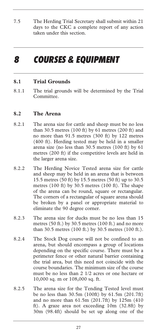7.5 The Herding Trial Secretary shall submit within 21 days to the CKC a complete report of any action taken under this section.

### *8 COURSES & EQUIPMENT*

#### **8.1 Trial Grounds**

8.1.1 The trial grounds will be determined by the Trial Committee.

#### **8.2 The Arena**

- 8.2.1 The arena size for cattle and sheep must be no less than 30.5 metres (100 ft) by 61 metres (200 ft) and no more than 91.5 metres (300 ft) by 122 metres (400 ft). Herding tested may be held in a smaller arena size (no less than 30.5 metres (100 ft) by 61 metres (200 ft) if the competitive levels are held in the larger arena size.
- 8.2.2 The Herding Novice Tested arena size for cattle and sheep may be held in an arena that is between 15.5 metres (50 ft) by 15.5 metres (50 ft) up to 30.5 metres (100 ft) by 30.5 metres (100 ft). The shape of the arena can be round, square or rectangular. The corners of a rectangular of square arena should be broken by a panel or appropriate material to eliminate the 90 degree corner.
- 8.2.3 The arena size for ducks must be no less than 15 metres (50 ft.) by 30.5 metres (100 ft.) and no more than 30.5 metres (100 ft.) by 30.5 metres (100 ft.).
- 8.2.4 The Stock Dog course will not be confined to an arena, but should encompass a group of locations depending on the specific course. There must be a perimeter fence or other natural barrier containing the trial area, but this need not coincide with the course boundaries. The minimum size of the course must be no less than 2 1/2 acres or one hectare or 10,000 sq. m or 108,000 sq. ft.
- 8.2.5 The arena size for the Tending Tested level must be no less than 30.5m (100ft) by 61.5m (201.7ft) and no more than 61.5m (201.7ft) by 125m (410 ft). A graze area not exceeding 10m (32.8ft) by 30m (98.4ft) should be set up along one of the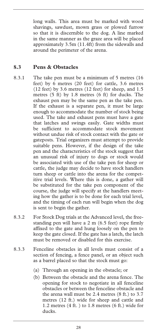long walls. This area must be marked with wood shavings, sawdust, mown grass or plowed furrow so that it is discernible to the dog. A line marked in the same manner as the graze area will be placed approximately 3.5m (11.4ft) from the sidewalls and around the perimeter of the arena.

#### **8.3 Pens & Obstacles**

- 8.3.1 The take pen must be a minimum of 5 metres (16 feet) by 6 metres (20 feet) for cattle, 3.6 metres (12 feet) by 3.6 metres (12 feet) for sheep, and 1.5 metres (5 ft) by 1.8 metres (6 ft) for ducks. The exhaust pen may be the same pen as the take pen. If the exhaust is a separate pen, it must be large enough to accommodate the number of stock being used. The take and exhaust pens must have a gate that latches and swings easily. Gate widths must be sufficient to accommodate stock movement without undue risk of stock contact with the gate or gateposts. Trial organizers must attempt to provide suitable pens. However, if the design of the take pen and the characteristics of the stock suggest that an unusual risk of injury to dogs or stock would be associated with use of the take pen for sheep or cattle, the judge may decide to have stock handlers turn sheep or cattle into the arena for the competitive trial levels. Where this is done, a gather will be substituted for the take pen component of the course, the judge will specify at the handlers meeting how the gather is to be done for each trial level, and the timing of each run will begin when the dog is sent to begin the gather.
- 8.3.2 For Stock Dog trials at the Advanced level, the freestanding pen will have a 2 m (6.5 feet) rope firmly affixed to the gate and hung loosely on the pen to keep the gate closed. If the gate has a latch, the latch must be removed or disabled for this exercise.
- 8.3.3 Fenceline obstacles in all levels must consist of a section of fencing, a fence panel, or an object such as a barrel placed so that the stock must go:
	- (a) Through an opening in the obstacle; or
	- (b) Between the obstacle and the arena fence. The opening for stock to negotiate in all fenceline obstacles or between the fenceline obstacle and the arena wall must be 2.4 metres (8 ft.) to 3.7 metres (12 ft.) wide for sheep and cattle and 1.2 metres (4 ft. ) to 1.8 metres (6 ft.) wide for ducks.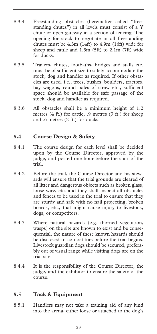- 8.3.4 Freestanding obstacles (hereinafter called "freestanding chutes") in all levels must consist of a Y chute or open gateway in a section of fencing. The opening for stock to negotiate in all freestanding chutes must be 4.3m (14ft) to 4.9m (16ft) wide for sheep and cattle and 1.5m (5ft) to 2.1m (7ft) wide for ducks.
- 8.3.5 Trailers, chutes, footbaths, bridges and stalls etc. must be of sufficient size to safely accommodate the stock, dog and handler as required. If other obstacles are used, i.e., trees, bushes, boulders, tractors, hay wagons, round bales of straw etc., sufficient space should be available for safe passage of the stock, dog and handler as required.
- 8.3.6 All obstacles shall be a minimum height of 1.2 metres (4 ft.) for cattle, .9 metres (3 ft.) for sheep and .6 metres (2 ft.) for ducks.

#### **8.4 Course Design & Safety**

- 8.4.1 The course design for each level shall be decided upon by the Course Director, approved by the judge, and posted one hour before the start of the trial.
- 8.4.2 Before the trial, the Course Director and his stewards will ensure that the trial grounds are cleared of all litter and dangerous objects such as broken glass, loose wire, etc. and they shall inspect all obstacles and fences to be used in the trial to ensure that they are sturdy and safe with no nail projecting, broken boards, etc., that might cause injury to livestock, dogs, or competitors.
- 8.4.3 Where natural hazards (e.g. thorned vegetation, wasps) on the site are known to exist and be consequential, the nature of these known hazards should be disclosed to competitors before the trial begins. Livestock guardian dogs should be secured, preferably out of visual range while visiting dogs are on the trial site.
- 8.4.4 It is the responsibility of the Course Director, the judge, and the exhibitor to ensure the safety of the course.

#### **8.5 Tack & Equipment**

8.5.1 Handlers may not take a training aid of any kind into the arena, either loose or attached to the dog's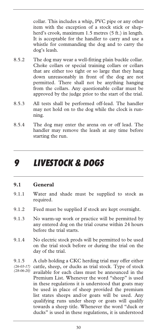collar. This includes a whip, PVC pipe or any other item with the exception of a stock stick or shepherd's crook, maximum 1.5 metres (5 ft.) in length. It is acceptable for the handler to carry and use a whistle for commanding the dog and to carry the dog's leash.

- 8.5.2 The dog may wear a well-fitting plain buckle collar. Choke collars or special training collars or collars that are either too tight or so large that they hang down unreasonably in front of the dog are not permitted. There shall not be anything hanging from the collars. Any questionable collar must be approved by the judge prior to the start of the trial.
- 8.5.3 All tests shall be performed off-lead. The handler may not hold on to the dog while the clock is running.
- 8.5.4 The dog may enter the arena on or off lead. The handler may remove the leash at any time before starting the run.

### *9 LIVESTOCK & DOGS*

#### **9.1 General**

- 9.1.1 Water and shade must be supplied to stock as required.
- 9.1.2 Feed must be supplied if stock are kept overnight.
- 9.1.3 No warm-up work or practice will be permitted by any entered dog on the trial course within 24 hours before the trial starts.
- 9.1.4 No electric stock prods will be permitted to be used on the trial stock before or during the trial on the day of the trial.

9.1.5 A club holding a CKC herding trial may offer either cattle, sheep, or ducks as trial stock. Type of stock available for each class must be announced in the Premium List. Whenever the word "sheep" is used in these regulations it is understood that goats may be used in place of sheep provided the premium list states sheeps and/or goats will be used. Any qualifying runs under sheep or goats will qualify towards a sheep title. Whenever the word "duck or ducks" is used in these regulations, it is understood *(26-03-17) (28-06-20)*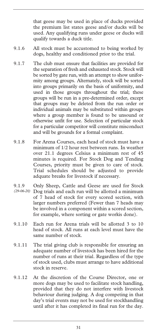that geese may be used in place of ducks provided the premium list states geese and/or ducks will be used. Any qualifying runs under geese or ducks will qualify towards a duck title.

- 9.1.6 All stock must be accustomed to being worked by dogs, healthy and conditioned prior to the trial.
- 9.1.7 The club must ensure that facilities are provided for the separation of fresh and exhausted stock. Stock will be sorted by gate run, with an attempt to show uniformity among groups. Alternately, stock will be sorted into groups primarily on the basis of uniformity, and used in those groups throughout the trial; these groups will be run in a pre-determined order, except that groups may be deleted from the run order or individual animals may be substituted within groups where a group member is found to be unsound or otherwise unfit for use. Selection of particular stock for a particular competitor will constitute misconduct and will be grounds for a formal complaint.
- 9.1.8 For Arena Courses, each head of stock must have a minimum of 1/2 hour rest between runs. In weather over 21.1 degrees Celsius a minimum rest of 45 minutes is required. For Stock Dog and Tending Courses, priority must be given to care of stock. Trial schedules should be adjusted to provide adquate breaks for livestock if necessary.
- 9.1.9 Only Sheep, Cattle and Geese are used for Stock Dog trials and each run will be allotted a minimum of 7 head of stock for every scored section, with larger numbers preferred (Fewer than 7 heads may be involved in a component within a scored section, for example, where sorting or gate workis done). *(29-06-20)*
- 9.1.10 Each run for Arena trials will be allotted 3 to 10 head of stock. All runs at each level must have the same number of stock.
- 9.1.11 The trial giving club is responsible for ensuring an adequate number of livestock has been hired for the number of runs at their trial. Regardless of the type of stock used, clubs must arrange to have additional stock in reserve.
- 9.1.12 At the discretion of the Course Director, one or more dogs may be used to facilitate stock handling, provided that they do not interfere with livestock behaviour during judging. A dog competing in that day's trial events may not be used for stockhandling until after it has completed its final run for the day.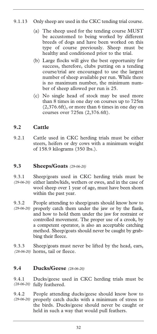## 9.1.13 Only sheep are used in the CKC tending trial course.

- (a) The sheep used for the tending course MUST be accustomed to being worked by different breeds of dogs and have been worked on this type of course previously. Sheep must be healthy and conditioned prior to the trial.
- (b) Large flocks will give the best opportunity for success, therefore, clubs putting on a tending course/trial are encouraged to use the largest number of sheep available per run. While there is no maximum number, the minimum number of sheep allowed per run is 25.
- (c) No single head of stock may be used more than 8 times in one day on courses up to 725m (2,376.6ft), or more than 6 times in one day on courses over 725m (2,376.6ft).

## **9.2 Cattle**

9.2.1 Cattle used in CKC herding trials must be either steers, heifers or dry cows with a minimum weight of 158.9 kilograms (350 lbs.).

### **9.3 Sheeps/Goats** *(29-06-20)*

- 9.3.1 Sheep/goats used in CKC herding trials must be (29-06-20) either lambs/kids, wethers or ewes, and in the case of wool sheep over 1 year of age, must have been shorn within the past year.
- 9.3.2 People attending to sheep/goats should know how to (29-06-20) properly catch them under the jaw or by the flank, and how to hold them under the jaw for restraint or controlled movement. The proper use of a crook, by a competent operator, is also an acceptable catching method. Sheep/goats should never be caught by grabbing their fleece.

9.3.3 Sheep/goats must never be lifted by the head, ears, horns, tail or fleece. *(28-06-20)* 

### **9.4 Ducks/Geese** *(28-06-20)*

9.4.1 Ducks/geese used in CKC herding trials must be (28-06-20) fully feathered.

9.4.2 People attending ducks/geese should know how to properly catch ducks with a minimum of stress to the birds. Ducks/geese should never be caught or held in such a way that would pull feathers. *(29-06-20)*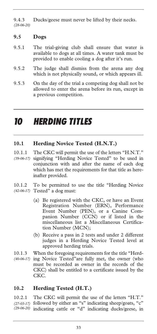9.4.3 Ducks/geese must never be lifted by their necks. *(28-06-20)* 

## **9.5 Dogs**

- 9.5.1 The trial-giving club shall ensure that water is available to dogs at all times. A water tank must be provided to enable cooling a dog after it's run.
- 9.5.2 The judge shall dismiss from the arena any dog which is not physically sound, or which appears ill.
- 9.5.3 On the day of the trial a competing dog shall not be allowed to enter the arena before its run, except in a previous competition.

# *10 HERDING TITLES*

## **10.1 Herding Novice Tested (H.N.T.)**

- 10.1.1 The CKC will permit the use of the letters "H.N.T." signifying "Herding Novice Tested" to be used in conjunction with and after the name of each dog which has met the requirements for that title as hereinafter provided. *(39-06-17)*
- 10.1.2 To be permitted to use the title "Herding Novice Tested" a dog must: *(42-06-17)* 
	- (a) Be registered with the CKC, or have an Event Registration Number (ERN), Performance Event Number (PEN), or a Canine Companion Number (CCN) or if listed in the miscellaneous list a Miscellaneous Certification Number (MCN);
	- (b) Receive a pass in 2 tests and under 2 different judges in a Herding Novice Tested level at approved herding trials.
- 10.1.3 When the foregoing requirements for the title "Herding Novice Tested"are fully met, the owner (who *(40-06-17)* must be recorded as owner in the records of the CKC) shall be entitled to a certificate issued by the CKC.

## **10.2 Herding Tested (H.T.)**

10.2.1 The CKC will permit the use of the letters "H.T." followed by either an "s" indicating sheep/goats, "c" *(27-03-17)*  indicating cattle or "d" indicating ducks/geese, in *(29-06-20)*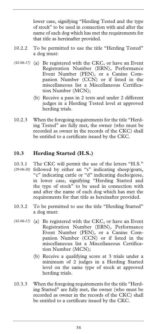lower case, signifying "Herding Tested and the type of stock" to be used in connection with and after the name of each dog which has met the requirements for that title as hereinafter provided.

- 10.2.2 To be permitted to use the title "Herding Tested" a dog must:
- (a) Be registered with the CKC, or have an Event *(42-06-17)*  Registration Number (ERN), Performance Event Number (PEN), or a Canine Companion Number (CCN) or if listed in the miscellaneous list a Miscellaneous Certification Number (MCN);
	- (b) Receive a pass in 2 tests and under 2 different judges in a Herding Tested level at approved herding trials.
- 10.2.3 When the foregoing requirements for the title "Herding Tested" are fully met, the owner (who must be recorded as owner in the records of the CKC) shall be entitled to a certificate issued by the CKC.

## **10.3 Herding Started (H.S.)**

- 10.3.1 The CKC will permit the use of the letters "H.S." followed by either an "s" indicating sheep/goats, *(29-06-20)*  "c" indicating cattle or "d" indicating ducks/geese, in lower case, signifying "Herding Started and the type of stock" to be used in connection with and after the name of each dog which has met the requirements for that title as hereinafter provided.
- 10.3.2 To be permitted to use the title "Herding Started" a dog must:
- (a) Be registered with the CKC, or have an Event *(42-06-17)* Registration Number (ERN), Performance Event Number (PEN), or a Canine Companion Number (CCN) or if listed in the miscellaneous list a Miscellaneous Certification Number (MCN);
	- (b) Receive a qualifying score at 3 trials under a minimum of 2 judges in a Herding Started level on the same type of stock at approved herding trials.
- 10.3.3 When the foregoing requirements for the title "Herding Started" are fully met, the owner (who must be recorded as owner in the records of the CKC) shall be entitled to a certificate issued by the CKC.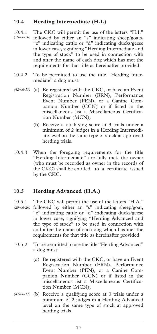## **10.4 Herding Intermediate (H.I.)**

- 10.4.1 The CKC will permit the use of the letters "H.I." followed by either an "s" indicating sheep/goats, *(29-06-20)*  "c" indicating cattle or "d" indicating ducks/geese in lower case, signifying "Herding Intermediate and the type of stock" to be used in connection with and after the name of each dog which has met the requirements for that title as hereinafter provided.
- 10.4.2 To be permitted to use the title "Herding Intermediate" a dog must:
- (42-06-17) (a) Be registered with the CKC, or have an Event Registration Number (ERN), Performance Event Number (PEN), or a Canine Companion Number (CCN) or if listed in the miscellaneous list a Miscellaneous Certification Number (MCN);
	- (b) Receive a qualifying score at 3 trials under a minimum of 2 judges in a Herding Intermediate level on the same type of stock at approved herding trials.
- 10.4.3 When the foregoing requirements for the title "Herding Intermediate" are fully met, the owner (who must be recorded as owner in the records of the CKC) shall be entitled to a certificate issued by the CKC.

## **10.5 Herding Advanced (H.A.)**

- 10.5.1 The CKC will permit the use of the letters "H.A." followed by either an "s" indicating sheep/goat, *(29-06-20)*  "c" indicating cattle or "d" indicating ducks/geese in lower case, signifying "Herding Advanced and the type of stock" to be used in connection with and after the name of each dog which has met the requirements for that title as hereinafter provided.
- 10.5.2 To be permitted to use the title "Herding Advanced" a dog must:
	- (a) Be registered with the CKC, or have an Event Registration Number (ERN), Performance Event Number (PEN), or a Canine Companion Number (CCN) or if listed in the miscellaneous list a Miscellaneous Certification Number (MCN);
- (42-06-17) (b) Receive a qualifying score at 3 trials under a minimum of 2 judges in a Herding Advanced level on the same type of stock at approved herding trials.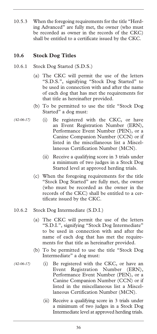10.5.3 When the foregoing requirements for the title "Herding Advanced" are fully met, the owner (who must be recorded as owner in the records of the CKC) shall be entitled to a certificate issued by the CKC.

## **10.6 Stock Dog Titles**

- 10.6.1 Stock Dog Started (S.D.S.)
	- (a) The CKC will permit the use of the letters "S.D.S.", signifying "Stock Dog Started" to be used in connection with and after the name of each dog that has met the requirements for that title as hereinafter provided.
	- (b) To be permitted to use the title "Stock Dog Started" a dog must:
- (i) Be registered with the CKC, or have an Event Registration Number (ERN), Performance Event Number (PEN), or a Canine Companion Number (CCN) or if listed in the miscellaneous list a Miscellaneous Certification Number (MCN). *(42-06-17)* 
	- (ii) Receive a qualifying score in 3 trials under a minimum of two judges in a Stock Dog Started level at approved herding trials.
	- (c) When the foregoing requirements for the title "Stock Dog Started" are fully met, the owner (who must be recorded as the owner in the records of the CKC) shall be entitled to a certificate issued by the CKC.
- 10.6.2 Stock Dog Intermediate (S.D.I.)
	- (a) The CKC will permit the use of the letters "S.D.I.", signifying "Stock Dog Intermediate" to be used in connection with and after the name of each dog that has met the requirements for that title as hereinafter provided.
	- (b) To be permitted to use the title "Stock Dog Intermediate" a dog must:
		- (i) Be registered with the CKC, or have an Event Registration Number (ERN), Performance Event Number (PEN), or a Canine Companion Number (CCN) or if listed in the miscellaneous list a Miscellaneous Certification Number (MCN).
			- (ii) Receive a qualifying score in 3 trials under a minimum of two judges in a Stock Dog Intermediate level at approved herding trials.

*(42-06-17)*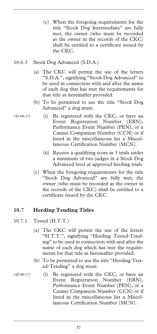- (c) When the foregoing requirements for the title "Stock Dog Intermediate" are fully met, the owner (who must be recorded as the owner in the records of the CKC) shall be entitled to a certificate issued by the CKC.
- 10.6.3 Stock Dog Advanced (S.D.A.)
	- (a) The CKC will permit the use of the letters "S.D.A.", signifying "Stock Dog Advanced" to be used in connection with and after the name of each dog that has met the requirements for that title as hereinafter provided.
	- (b) To be permitted to use the title "Stock Dog Advanced" a dog must:
		- (i) Be registered with the CKC, or have an Event Registration Number (ERN), Performance Event Number (PEN), or a Canine Companion Number (CCN) or if listed in the miscellaneous list a Miscellaneous Certification Number (MCN).
			- (ii) Receive a qualifying score in 3 trials under a minimum of two judges in a Stock Dog Advanced level at approved herding trials.
	- (c) When the foregoing requirements for the title "Stock Dog Advanced" are fully met, the owner (who must be recorded as the owner in the records of the CKC) shall be entitled to a certificate issued by the CKC.

## **10.7 Herding Tending Titles**

10.7.1 Tested (H.T.T.)

*(42-06-17)* 

- (a) The CKC will permit the use of the letters "H.T.T.", signifying "Herding Tested-Tending" to be used in connection with and after the name of each dog which has met the requirements for that title as hereinafter provided.
- (b) To be permitted to use the title "Herding Tested-Tending" a dog must:
- (i) Be registered with the CKC, or have an Event Registration Number (ERN), Performance Event Number (PEN), or a Canine Companion Number (CCN) or if listed in the miscellaneous list a Miscellaneous Certification Number (MCN). *(42-06-17)*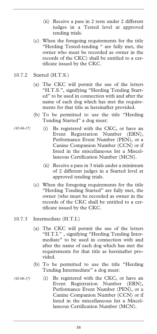- (ii) Receive a pass in 2 tests under 2 different judges in a Tested level at approved tending trials.
- (c) When the foregoing requirements for the title "Herding Tested-tending " are fully met, the owner who must be recorded as owner in the records of the CKC) shall be entitled to a certificate issued by the CKC.
- 10.7.2 Started (H.T.S.)

*(42-06-17)* 

- (a) The CKC will permit the use of the letters "H.T.S.", signifying "Herding Tending Started" to be used in connection with and after the name of each dog which has met the requirements for that title as hereinafter provided.
- (b) To be permitted to use the title "Herding Tending Started" a dog must:
	- (i) Be registered with the CKC, or have an Event Registration Number (ERN), Performance Event Number (PEN), or a Canine Companion Number (CCN) or if listed in the miscellaneous list a Miscellaneous Certification Number (MCN).
		- (ii) Receive a pass in 3 trials under a minimum of 2 different judges in a Started level at approved tending trials.
- (c) When the foregoing requirements for the title "Herding Tending Started" are fully met, the owner (who must be recorded as owner in the records of the CKC shall be entitled to a certificate issued by the CKC.
- 10.7.3 Intermediate (H.T.I.)
	- (a) The CKC will permit the use of the letters "H.T.I." , signifying "Herding Tending Intermediate" to be used in connection with and after the name of each dog which has met the requirements for that title as hereinafter provided.
	- (b) To be permitted to use the title "Herding Tending Intermediate" a dog must:
- (i) Be registered with the CKC, or have an Event Registration Number (ERN), Performance Event Number (PEN), or a Canine Companion Number (CCN) or if listed in the miscellaneous list a Miscellaneous Certification Number (MCN). *(42-06-17)*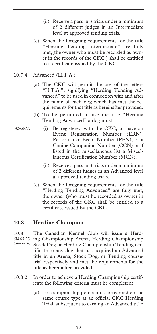- (ii) Receive a pass in 3 trials under a minimum of 2 different judges in an Intermediate level at approved tending trials.
- (c) When the foregoing requirements for the title "Herding Tending Intermediate" are fully met,(the owner who must be recorded as owner in the records of the CKC ) shall be entitled to a certificate issued by the CKC.
- 10.7.4 Advanced (H.T.A.)

*(42-06-17)* 

- (a) The CKC will permit the use of the letters "H.T.A.", signifying "Herding Tending Advanced" to be used in connection with and after the name of each dog which has met the requirements for that title as hereinafter provided.
- (b) To be permitted to use the title "Herding Tending Advanced" a dog must:
	- (i) Be registered with the CKC, or have an Event Registration Number (ERN), Performance Event Number (PEN), or a Canine Companion Number (CCN) or if listed in the miscellaneous list a Miscellaneous Certification Number (MCN).
		- (ii) Receive a pass in 3 trials under a minimum of 2 different judges in an Advanced level at approved tending trials.
- (c) When the foregoing requirements for the title "Herding Tending Advanced" are fully met, the owner (who must be recorded as owner in the records of the CKC shall be entitled to a certificate issued by the CKC.

### **10.8 Herding Champion**

- 10.8.1 The Canadian Kennel Club will issue a Herding Championship Arena, Herding Championship Stock Dog or Herding Championship Tending certificate to any dog that has acquired an Advanced title in an Arena, Stock Dog, or Tending course/ trial respectively and met the requirements for the title as hereinafter provided. *(28-03-17) (30-06-20)*
- 10.8.2 In order to achieve a Herding Championship certificate the following criteria must be completed:
	- (a) 15 championship points must be earned on the same course type at an official CKC Herding Trial, subsequent to earning an Advanced title;
		- 39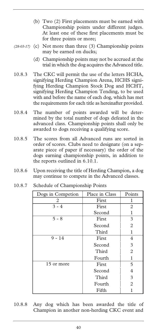- (b) Two (2) First placements must be earned with Championship points under different judges. At least one of these first placements must be for three points or more;
- (28-03-17) (c) Not more than three (3) Championship points may be earned on ducks;
	- (d) Championship points may not be accrued at the trial in which the dog acquires the Advanced title.
- 10.8.3 The CKC will permit the use of the letters HCHA, signifying Herding Champion Arena, HCHS signifying Herding Champion Stock Dog and HCHT, signifying Herding Champion Tending, to be used with and before the name of each dog, which has met the requirements for each title as hereinafter provided.
- 10.8.4 The number of points awarded will be determined by the total number of dogs defeated in the advanced class. Championship points shall only be awarded to dogs receiving a qualifying score.
- 10.8.5 The scores from all Advanced runs are sorted in order of scores. Clubs need to designate (on a separate piece of paper if necessary) the order of the dogs earning championship points, in addition to the reports outlined in 6.10.1.
- 10.8.6 Upon receiving the title of Herding Champion, a dog may continue to compete in the Advanced classes.

| Dogs in Competion | Place in Class | Points         |
|-------------------|----------------|----------------|
| 2                 | First          | 1              |
| $3 - 4$           | First          | 2              |
|                   | Second         | 1              |
| $5 - 8$           | First          | 3              |
|                   | Second         | $\overline{c}$ |
|                   | Third          | 1              |
| $9 - 14$          | First          | 4              |
|                   | Second         | 3              |
|                   | Third          | 2              |
|                   | Fourth         | 1              |
| 15 or more        | First          | 5              |
|                   | Second         | 4              |
|                   | Third          | 3              |
|                   | Fourth         | 2              |
|                   | Fifth          |                |

10.8.7 Schedule of Championship Points

10.8.8 Any dog which has been awarded the title of Champion in another non-herding CKC event and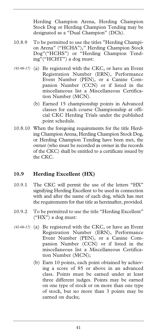Herding Champion Arena, Herding Champion Stock Dog or Herding Champion Tending may be designated as a "Dual Champion" (DCh).

- 10.8.9 To be permitted to use the titles "Herding Champion Arena" ("HCHA")," Herding Champion Stock Dog"("HCHS") or "Herding Champion Tending"("HCHT") a dog must:
- (42-06-17) (a) Be registered with the CKC, or have an Event Registration Number (ERN), Performance Event Number (PEN), or a Canine Companion Number (CCN) or if listed in the miscellaneous list a Miscellaneous Certification Number (MCN).
	- (b) Earned 15 championship points in Advanced classes for each course Championship at official CKC Herding Trials under the published point schedule.
- 10.8.10 When the foregoing requirements for the title Herding Champion Arena, Herding Champion Stock Dog, or Herding Champion Tending have been met, the owner (who must be recorded as owner in the records of the CKC) shall be entitled to a certificate issued by the CKC.

### **10.9 Herding Excellent (HX)**

- 10.9.1 The CKC will permit the use of the letters "HX" signifying Herding Excellent to be used in connection with and after the name of each dog, which has met the requirements for that title as hereinafter, provided.
- 10.9.2 To be permitted to use the title "Herding Excellent" ("HX") a dog must:
- (a) Be registered with the CKC, or have an Event *(42-06-17)* Registration Number (ERN), Performance Event Number (PEN), or a Canine Companion Number (CCN) or if listed in the miscellaneous list a Miscellaneous Certification Number (MCN);
	- (b) Earn 10 points, each point obtained by achieving a score of 85 or above in an advanced class. Points must be earned under at least three different judges. Points may be earned on one type of stock or on more than one type of stock, but no more than 3 points may be earned on ducks;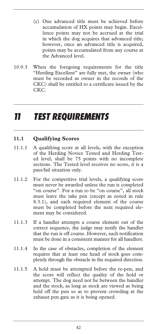- (c) One advanced title must be achieved before accumulation of HX points may begin. Excellence points may not be accrued at the trial in which the dog acquires that advanced title; however, once an advanced title is acquired, points may be accumulated from any course at the Advanced level.
- 10.9.3 When the foregoing requirements for the title "Herding Excellent" are fully met, the owner (who must be recorded as owner in the records of the CKC) shall be entitled to a certificate issued by the CKC.

# *11 TEST REQUIREMENTS*

## **11.1 Qualifying Scores**

- 11.1.1 A qualifying score at all levels, with the exception of the Herding Novice Tested and Herding Tested level, shall be 75 points with no incomplete sections. The Tested level receives no score, it is a pass/fail situation only.
- 11.1.2 For the competitive trial levels, a qualifying score must never be awarded unless the run is completed "on course". For a run to be "on course", all stock must leave the take pen (except as noted in rule 8.3.1), and each required element of the course must be completed before the next required element may be considered.
- 11.1.3 If a handler attempts a course element out of the correct sequence, the judge may notify the handler that the run is off course. However, such notification must be done in a consistent manner for all handlers.
- 11.1.4 In the case of obstacles, completion of the element requires that at least one head of stock goes completely through the obstacle in the required direction.
- 11.1.5 A hold must be attempted before the re-pen, and the score will reflect the quality of the hold or attempt. The dog need not be between the handler and the stock, as long as stock are viewed as being held off the pen so as to prevent crowding at the exhaust pen gate as it is being opened.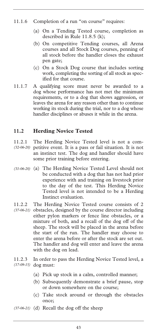- 11.1.6 Completion of a run "on course" requires:
	- (a) On a Tending Tested course, completion as described in Rule 11.8.5 (k);
	- (b) On competitive Tending courses, all Arena courses and all Stock Dog courses, penning of all stock before the handler closes the exhaust pen gate;
	- (c) On a Stock Dog course that includes sorting work, completing the sorting of all stock as specified for that course.
- 11.1.7 A qualifying score must never be awarded to a dog whose performance has not met the minimum requirements, or to a dog that shows aggression, or leaves the arena for any reason other than to continue working its stock during the trial, nor to a dog whose handler disciplines or abuses it while in the arena.

## **11.2 Herding Novice Tested**

- 11.2.1 The Herding Novice Tested level is not a competitive event. It is a pass or fail situation. It is not *(32-06-20)*  an instinct test. The dog and handler should have some prior training before entering.
- (a) The Herding Novice Tested Level should not *(31-06-20)*  be conducted with a dog that has not had prior experience with and training on livestock prior to the day of the test. This Herding Novice Tested level is not intended to be a Herding Instinct evaluation.
- 11.2.2 The Herding Novice Tested course consists of 2
- (37-06-21) obstacles, designed by the course director including either pylon markers or fence line obstacles, or a mixture of both, and a recall of the dog off of the sheep. The stock will be placed in the arena before the start of the run. The handler may choose to enter the arena before or after the stock are set out. The handler and dog will enter and leave the arena with the dog on lead.
- 11.2.3 In order to pass the Herding Novice Tested level, a dog must: *(17-09-15)* 
	- (a) Pick up stock in a calm, controlled manner;
	- (b) Subsequently demonstrate a brief pause, stop or down somewhere on the course;
	- (c) Take stock around or through the obstacles once;
- (d) Recall the dog off the sheep *(37-06-21)*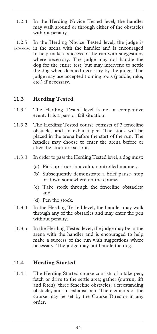- 11.2.4 In the Herding Novice Tested level, the handler may walk around or through either of the obstacles without penalty.
- 11.2.5 In the Herding Novice Tested level, the judge is in the arena with the handler and is encouraged *(32-06-20)* to help make a success of the run with suggestions where necessary. The judge may not handle the dog for the entire test, but may intervene to settle the dog when deemed necessary by the judge. The judge may use accepted training tools (paddle, rake, etc.) if necessary.

## **11.3 Herding Tested**

- 11.3.1 The Herding Tested level is not a competitive event. It is a pass or fail situation.
- 11.3.2 The Herding Tested course consists of 3 fenceline obstacles and an exhaust pen. The stock will be placed in the arena before the start of the run. The handler may choose to enter the arena before or after the stock are set out.
- 11.3.3 In order to pass the Herding Tested level, a dog must:
	- (a) Pick up stock in a calm, controlled manner;
	- (b) Subsequently demonstrate a brief pause, stop or down somewhere on the course;
	- (c) Take stock through the fenceline obstacles; and
	- (d) Pen the stock.
- 11.3.4 In the Herding Tested level, the handler may walk through any of the obstacles and may enter the pen without penalty.
- 11.3.5 In the Herding Tested level, the judge may be in the arena with the handler and is encouraged to help make a success of the run with suggestions where necessary. The judge may not handle the dog.

### **11.4 Herding Started**

11.4.1 The Herding Started course consists of a take pen; fetch or drive to the settle area; gather (outrun, lift and fetch); three fenceline obstacles; a freestanding obstacle; and an exhaust pen. The elements of the course may be set by the Course Director in any order.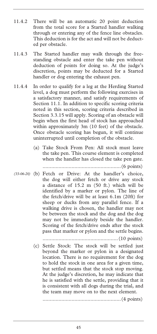- 11.4.2 There will be an automatic 20 point deduction from the total score for a Started handler walking through or entering any of the fence line obstacles. This deduction is for the act and will not be deducted per obstacle.
- 11.4.3 The Started handler may walk through the freestanding obstacle and enter the take pen without deduction of points for doing so. At the judge's discretion, points may be deducted for a Started handler or dog entering the exhaust pen.
- 11.4.4 In order to qualify for a leg at the Herding Started level, a dog must perform the following exercises in a satisfactory manner, and satisfy requirements of Section 11.1. In addition to specific scoring criteria noted in this section, scoring criteria described in Section 3.3.15 will apply. Scoring of an obstacle will begin when the first head of stock has approached within approximately 3m (10 feet) of the obstacle. Once obstacle scoring has begun, it will continue uninterrupted until completion of the obstacle.
	- (a) Take Stock From Pen: All stock must leave the take pen. This course element is completed when the handler has closed the take pen gate.

......................................................(6 points)

(b) Fetch or Drive: At the handler's choice, *(33-06-20)* the dog will either fetch or drive any stock a distance of 15.2 m (50 ft.) which will be identified by a marker or pylon. The line of the fetch/drive will be at least 6.1m (20ft) for sheep or ducks from any parallel fence. If a walking drive is chosen, the handler may not be between the stock and the dog and the dog may not be immediately beside the handler. Scoring of the fetch/drive ends after the stock pass that marker or pylon and the settle begins.

....................................................(10 points)

(c) Settle Stock: The stock will be settled just beyond the marker or pylon in a designated location. There is no requirement for the dog to hold the stock in one area for a given time, but settled means that the stock stop moving. At the judge's discretion, he may indicate that he is satisfied with the settle, providing that it is consistent with all dogs during the trial, and the team may move on to the next element.

......................................................(4 points)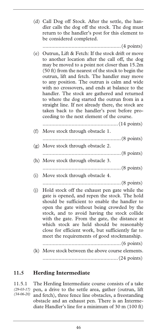(d) Call Dog off Stock. After the settle, the handler calls the dog off the stock. The dog must return to the handler's post for this element to be considered completed.

......................................................(4 points)

(e) Outrun, Lift & Fetch: If the stock drift or move to another location after the call off, the dog may be moved to a point not closer than 15.2m (50 ft) from the nearest of the stock to begin the outrun, lift and fetch. The handler may move to any position. The outrun is calm and wide with no crossovers, and ends at balance to the handler. The stock are gathered and returned to where the dog started the outrun from in a straight line. If not already there, the stock are taken back to the handler's post before proceeding to the next element of the course.

| (f) | Move stock through obstacle 1.                                                                                                                                                                                                                                                                                                                                                                                                                  |
|-----|-------------------------------------------------------------------------------------------------------------------------------------------------------------------------------------------------------------------------------------------------------------------------------------------------------------------------------------------------------------------------------------------------------------------------------------------------|
|     |                                                                                                                                                                                                                                                                                                                                                                                                                                                 |
|     | (g) Move stock through obstacle 2.                                                                                                                                                                                                                                                                                                                                                                                                              |
|     |                                                                                                                                                                                                                                                                                                                                                                                                                                                 |
|     | (h) Move stock through obstacle 3.                                                                                                                                                                                                                                                                                                                                                                                                              |
|     |                                                                                                                                                                                                                                                                                                                                                                                                                                                 |
| (i) | Move stock through obstacle 4.                                                                                                                                                                                                                                                                                                                                                                                                                  |
|     |                                                                                                                                                                                                                                                                                                                                                                                                                                                 |
| (j) | Hold stock off the exhaust pen gate while the<br>gate is opened, and repen the stock. The hold<br>should be sufficient to enable the handler to<br>open the gate without being crowded by the<br>stock, and to avoid having the stock collide<br>with the gate. From the gate, the distance at<br>which stock are held should be reasonably<br>close for efficient work, but sufficiently far to<br>meet the requirements of good stockmanship. |
|     |                                                                                                                                                                                                                                                                                                                                                                                                                                                 |
|     | (k) Move stock between the above course elements.                                                                                                                                                                                                                                                                                                                                                                                               |
|     |                                                                                                                                                                                                                                                                                                                                                                                                                                                 |

# **11.5 Herding Intermediate**

11.5.1 The Herding Intermediate course consists of a take (29-03-17) pen, a drive to the settle area, gather (outrun, lift and fetch), three fence line obstacles, a freestanding obstacle and an exhaust pen. There is an Intermediate Handler's line for a minimum of 30 m (100 ft) *(34-06-20)*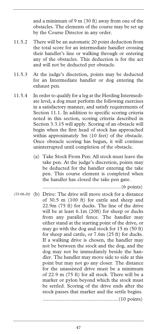and a minimum of 9 m (30 ft) away from one of the obstacles. The elements of the course may be set up by the Course Director in any order.

- 11.5.2 There will be an automatic 20 point deduction from the total score for an intermediate handler crossing their handler's line or walking through or entering any of the obstacles. This deduction is for the act and will not be deducted per obstacle.
- 11.5.3 At the judge's discretion, points may be deducted for an Intermediate handler or dog entering the exhaust pen.
- 11.5.4 In order to qualify for a leg at the Herding Intermediate level, a dog must perform the following exercises in a satisfactory manner, and satisfy requirements of Section 11.1. In addition to specific scoring criteria noted in this section, scoring criteria described in Section 3.3.15 will apply. Scoring of an obstacle will begin when the first head of stock has approached within approximately 3m (10 feet) of the obstacle. Once obstacle scoring has begun, it will continue uninterrupted until completion of the obstacle.
	- (a) Take Stock From Pen: All stock must leave the take pen. At the judge's discretion, points may be deducted for the handler entering the take pen. This course element is completed when the handler has closed the take pen gate.

......................................................(6 points)

(b) Drive: The drive will move stock for a distance *(33-06-20)*  of 30.5 m (100 ft) for cattle and sheep and 22.9m (75 ft) for ducks. The line of the drive will be at least 6.1m (20ft) for sheep or ducks from any parallel fence. The handler may either stand at the starting point of the drive, or may go with the dog and stock for 15 m (50 ft) for sheep and cattle, or 7.6m (25 ft) for ducks. If a walking drive is chosen, the handler may not be between the stock and the dog, and the dog may not be immediately beside the handler. The handler may move side to side at this point but may not go any closer. The distance for the unassisted drive must be a minimum of 22.9 m (75 ft) for all stock. There will be a marker or pylon beyond which the stock must be settled. Scoring of the drive ends after the stock passes that marker and the settle begins. ....................................................(10 points)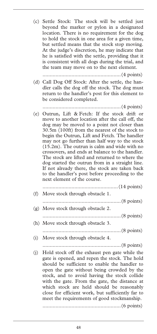(c) Settle Stock: The stock will be settled just beyond the marker or pylon in a designated location. There is no requirement for the dog to hold the stock in one area for a given time, but settled means that the stock stop moving. At the judge's discretion, he may indicate that he is satisfied with the settle, providing that it is consistent with all dogs during the trial, and the team may move on to the next element.

......................................................(4 points)

(d) Call Dog Off Stock: After the settle, the handler calls the dog off the stock. The dog must return to the handler's post for this element to be considered completed.

......................................................(4 points)

(e) Outrun, Lift & Fetch: If the stock drift or move to another location after the call off, the dog may be moved to a point not closer than 30.5m (100ft) from the nearest of the stock to begin the Outrun, Lift and Fetch. The handler may not go further than half way to the stock (15.2m). The outrun is calm and wide with no crossovers, and ends at balance to the handler. The stock are lifted and returned to where the dog started the outrun from in a straight line. If not already there, the stock are taken back to the handler's post before proceeding to the next element of the course.

|     | (f) Move stock through obstacle 1.                                                                                                                                                                                                                                                                                                                                                                                                              |
|-----|-------------------------------------------------------------------------------------------------------------------------------------------------------------------------------------------------------------------------------------------------------------------------------------------------------------------------------------------------------------------------------------------------------------------------------------------------|
|     |                                                                                                                                                                                                                                                                                                                                                                                                                                                 |
|     | (g) Move stock through obstacle 2.                                                                                                                                                                                                                                                                                                                                                                                                              |
|     |                                                                                                                                                                                                                                                                                                                                                                                                                                                 |
|     | (h) Move stock through obstacle 3.                                                                                                                                                                                                                                                                                                                                                                                                              |
|     |                                                                                                                                                                                                                                                                                                                                                                                                                                                 |
| (i) | Move stock through obstacle 4.                                                                                                                                                                                                                                                                                                                                                                                                                  |
|     |                                                                                                                                                                                                                                                                                                                                                                                                                                                 |
| (j) | Hold stock off the exhaust pen gate while the<br>gate is opened, and repen the stock. The hold<br>should be sufficient to enable the handler to<br>open the gate without being crowded by the<br>stock, and to avoid having the stock collide<br>with the gate. From the gate, the distance at<br>which stock are held should be reasonably<br>close for efficient work, but sufficiently far to<br>meet the requirements of good stockmanship. |

......................................................(6 points)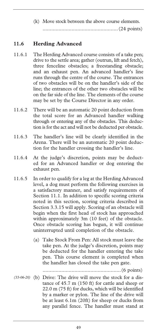(k) Move stock between the above course elements. ....................................................(24 points)

## **11.6 Herding Advanced**

- 11.6.1 The Herding Advanced course consists of a take pen; drive to the settle area; gather (outrun, lift and fetch), three fenceline obstacles; a freestanding obstacle; and an exhaust pen. An advanced handler's line runs through the centre of the course. The entrances of two obstacles will be on the handler's side of the line; the entrances of the other two obstacles will be on the far side of the line. The elements of the course may be set by the Course Director in any order.
- 11.6.2 There will be an automatic 20 point deduction from the total score for an Advanced handler walking through or entering any of the obstacles. This deduction is for the act and will not be deducted per obstacle.
- 11.6.3 The handler's line will be clearly identified in the Arena. There will be an automatic 20 point deduction for the handler crossing the handler's line.
- 11.6.4 At the judge's discretion, points may be deducted for an Advanced handler or dog entering the exhaust pen.
- 11.6.5 In order to qualify for a leg at the Herding Advanced level, a dog must perform the following exercises in a satisfactory manner, and satisfy requirements of Section 11.1. In addition to specific scoring criteria noted in this section, scoring criteria described in Section 3.3.15 will apply. Scoring of an obstacle will begin when the first head of stock has approached within approximately 3m (10 feet) of the obstacle. Once obstacle scoring has begun, it will continue uninterrupted until completion of the obstacle.
	- (a) Take Stock From Pen: All stock must leave the take pen. At the judge's discretion, points may be deducted for the handler entering the take pen. This course element is completed when the handler has closed the take pen gate.

......................................................(6 points)

(b) Drive: The drive will move the stock for a dis-*(33-06-20)* tance of 45.7 m (150 ft) for cattle and sheep or 22.0 m (75 ft) for ducks, which will be identified by a marker or pylon. The line of the drive will be at least 6.1m (20ft) for sheep or ducks from any parallel fence. The handler must stand at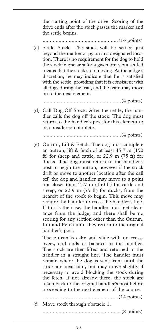the starting point of the drive. Scoring of the drive ends after the stock passes the marker and the settle begins.

....................................................(14 points)

(c) Settle Stock: The stock will be settled just beyond the marker or pylon in a designated location. There is no requirement for the dog to hold the stock in one area for a given time, but settled means that the stock stop moving. At the judge's discretion, he may indicate that he is satisfied with the settle, providing that it is consistent with all dogs during the trial, and the team may move on to the next element.

......................................................(4 points)

(d) Call Dog Off Stock: After the settle, the handler calls the dog off the stock. The dog must return to the handler's post for this element to be considered complete.

......................................................(4 points)

(e) Outrun, Lift & Fetch: The dog must complete an outrun, lift & fetch of at least 45.7 m (150 ft) for sheep and cattle, or 22.9 m (75 ft) for ducks. The dog must return to the handler's post to begin the outrun, however if the stock drift or move to another location after the call off, the dog and handler may move to a point not closer than 45.7 m (150 ft) for cattle and sheep, or 22.9 m (75 ft) for ducks, from the nearest of the stock to begin. This move may require the handler to cross the handler's line. If this is the case, the handler must get clearance from the judge, and there shall be no scoring for any section other than the Outrun, Lift and Fetch until they return to the original handler's post.

 The outrun is calm and wide with no crossovers, and ends at balance to the handler. The stock are then lifted and returned to the handler in a straight line. The handler must remain where the dog is sent from until the stock are near him, but may move slightly if necessary to avoid blocking the stock during the fetch. If not already there, the stock are taken back to the original handler's post before proceeding to the next element of the course.

....................................................(14 points)

(f) Move stock through obstacle 1.

......................................................(8 points)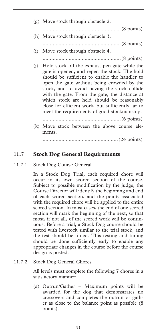| (g) Move stock through obstacle 2.                                                                                                                                                                                                                                                                                                                                                                                                                     |
|--------------------------------------------------------------------------------------------------------------------------------------------------------------------------------------------------------------------------------------------------------------------------------------------------------------------------------------------------------------------------------------------------------------------------------------------------------|
|                                                                                                                                                                                                                                                                                                                                                                                                                                                        |
| (h) Move stock through obstacle 3.                                                                                                                                                                                                                                                                                                                                                                                                                     |
|                                                                                                                                                                                                                                                                                                                                                                                                                                                        |
| Move stock through obstacle 4.<br>(i)                                                                                                                                                                                                                                                                                                                                                                                                                  |
| (8 points)                                                                                                                                                                                                                                                                                                                                                                                                                                             |
| Hold stock off the exhaust pen gate while the<br>(i)<br>gate is opened, and repen the stock. The hold<br>should be sufficient to enable the handler to<br>open the gate without being crowded by the<br>stock, and to avoid having the stock collide<br>with the gate. From the gate, the distance at<br>which stock are held should be reasonably<br>close for efficient work, but sufficiently far to<br>meet the requirements of good stockmanship. |
|                                                                                                                                                                                                                                                                                                                                                                                                                                                        |
| (k) Move stock between the above course ele-<br>ments.                                                                                                                                                                                                                                                                                                                                                                                                 |
|                                                                                                                                                                                                                                                                                                                                                                                                                                                        |

### **11.7 Stock Dog General Requirements**

11.7.1 Stock Dog Course General

In a Stock Dog Trial, each required chore will occur in its own scored section of the course. Subject to possible modification by the judge, the Course Director will identify the beginning and end of each scored section, and the points associated with the required chore will be applied to the entire scored section. In most cases, the end of one scored section will mark the beginning of the next, so that most, if not all, of the scored work will be continuous. Before a trial, a Stock Dog course should be tested with livestock similar to the trial stock, and the test should be timed. This testing and timing should be done sufficiently early to enable any appropriate changes in the course before the course design is posted.

11.7.2 Stock Dog General Chores

All levels must complete the following 7 chores in a satisfactory manner:

(a) Outrun/Gather – Maximum points will be awarded for the dog that demonstrates no crossovers and completes the outrun or gather as close to the balance point as possible (8 points).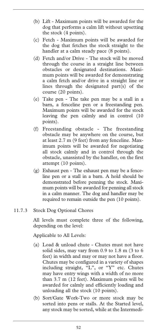- (b) Lift Maximum points will be awarded for the dog that performs a calm lift without upsetting the stock (4 points).
- (c) Fetch Maximum points will be awarded for the dog that fetches the stock straight to the handler at a calm steady pace (8 points).
- (d) Fetch and/or Drive The stock will be moved through the course in a straight line between obstacles or designated destinations. Maximum points will be awarded for demonstrating a calm fetch and/or drive in a straight line or lines through the designated part(s) of the course (20 points).
- (e) Take pen The take pen may be a stall in a barn, a fenceline pen or a freestanding pen. Maximum points will be awarded for the stock leaving the pen calmly and in control (10 points).
- (f) Freestanding obstacle The freestanding obstacle may be anywhere on the course, but at least 2.7 m (9 feet) from any fenceline. Maximum points will be awarded for negotiating all stock calmly and in control through the obstacle, unassisted by the handler, on the first attempt (10 points).
- (g) Exhaust pen The exhaust pen may be a fenceline pen or a stall in a barn. A hold should be demonstrated before penning the stock. Maximum points will be awarded for penning all stock in a calm manner. The dog and handler may be required to remain outside the pen (10 points).
- 11.7.3 Stock Dog Optional Chores

All levels must complete three of the following, depending on the level:

Applicable to All Levels:

- (a) Load & unload chute Chutes must not have solid sides, may vary from 0.9 to 1.8 m (3 to 6 feet) in width and may or may not have a floor. Chutes may be configured in a variety of shapes including straight, "L", or "Y" etc. Chutes may have entry wings with a width of no more than 3.7 m (12 feet). Maximum points will be awarded for calmly and efficiently loading and unloading all the stock (10 points).
- (b) Sort/Gate Work-Two or more stock may be sorted into pens or stalls. At the Started level, any stock may be sorted, while at the Intermedi-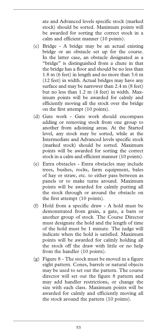ate and Advanced levels specific stock (marked stock) should be sorted. Maximum points will be awarded for sorting the correct stock in a calm and efficient manner (10 points).

- (c) Bridge A bridge may be an actual existing bridge or an obstacle set up for the course. In the latter case, an obstacle designated as a "bridge" is distinguished from a chute in that the bridge has a floor and should be no less than 1.8 m (6 feet) in length and no more than 3.6 m (12 feet) in width. Actual bridges may have any surface and may be narrower than 2.4 m (8 feet) but no less than 1.2 m (4 feet) in width. Maximum points will be awarded for calmly and efficiently moving all the stock over the bridge on the first attempt (10 points).
- (d) Gate work Gate work should encompass adding or removing stock from one group to another from adjoining areas. At the Started level, any stock may be sorted, while at the Intermediate and Advanced levels specific stock (marked stock) should be sorted. Maximum points will be awarded for sorting the correct stock in a calm and efficient manner (10 points).
- (e) Extra obstacles Extra obstacles may include trees, bushes, rocks, farm equipment, bales of hay or straw, etc. to either pass between as panels or to make turns around. Maximum points will be awarded for calmly putting all the stock through or around the obstacle on the first attempt (10 points).
- (f) Hold from a specific draw A hold must be demonstrated from grain, a gate, a barn or another group of stock. The Course Director must designate the hold and the length of time of the hold must be 1 minute. The judge will indicate when the hold is satisfied. Maximum points will be awarded for calmly holding all the stock off the draw with little or no help from the handler (10 points).
- (g) Figure 8 The stock must be moved in a figure eight pattern. Cones, barrels or natural objects may be used to set out the pattern. The course director will set out the figure 8 pattern and may add handler restrictions, or change the size with each class. Maximum points will be awarded for calmly and efficiently moving all the stock around the pattern (10 points).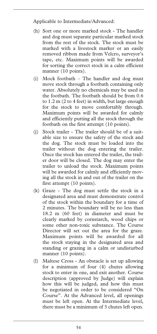Applicable to Intermediate/Advanced:

- (h) Sort one or more marked stock The handler and dog must separate particular marked stock from the rest of the stock. The stock must be marked with a livestock marker or an easily removed ribbon made from Velcro, surveyor's tape, etc. Maximum points will be awarded for sorting the correct stock in a calm efficient manner (10 points).
- (i) Mock footbath The handler and dog must move stock through a footbath containing only water. Absolutely no chemicals may be used in the footbath. The footbath should be from 0.6 to 1.2 m (2 to 4 feet) in width, but large enough for the stock to move comfortably through. Maximum points will be awarded for calmly and efficiently putting all the stock through the footbath on the first attempt (10 points).
- (j) Stock trailer The trailer should be of a suitable size to ensure the safety of the stock and the dog. The stock must be loaded into the trailer without the dog entering the trailer. Once the stock has entered the trailer, the trailer door will be closed. The dog may enter the trailer to unload the stock. Maximum points will be awarded for calmly and efficiently moving all the stock in and out of the trailer on the first attempt (10 points).
- (k) Graze The dog must settle the stock in a designated area and must demonstrate control of the stock within the boundary for a time of 2 minutes. The boundary will be no less than 18.2 m (60 feet) in diameter and must be clearly marked by cornstarch, wood chips or some other non-toxic substance. The Course Director will set out the area for the graze. Maximum points will be awarded for all the stock staying in the designated area and standing or grazing in a calm or undisturbed manner (10 points).
- (l) Maltese Cross An obstacle is set up allowing for a minimum of four (4) chutes allowing stock to enter in one, and exit another. Course description (approved by Judge) will explain how this will be judged, and how this must be negotiated in order to be considered "On Course". At the Advanced level, all openings must be left open. At the Intermediate level, there must be a minimum of 3 chutes left open.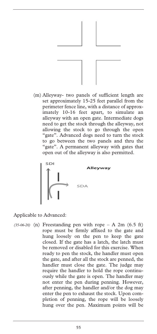

(m) Alleyway- two panels of sufficient length are set approximately 15-25 feet parallel from the perimeter fence line, with a distance of approximately 10-16 feet apart, to simulate an alleyway with an open gate. Intermediate dogs need to get the stock through the alleyway, not allowing the stock to go through the open "gate". Advanced dogs need to turn the stock to go between the two panels and thru the "gate". A permanent alleyway with gates that open out of the alleyway is also permitted.



Applicable to Advanced:

 $(35-06-20)$  (n) Freestanding pen with rope  $- A 2m (6.5 ft)$ rope must be firmly affixed to the gate and hung loosely on the pen to keep the gate closed. If the gate has a latch, the latch must be removed or disabled for this exercise. When ready to pen the stock, the handler must open the gate, and after all the stock are penned, the handler must close the gate. The judge may require the handler to hold the rope continuously while the gate is open. The handler may not enter the pen during penning. However, after penning, the handler and/or the dog may enter the pen to exhaust the stock. Upon completion of penning, the rope will be loosely hung over the pen. Maximum points will be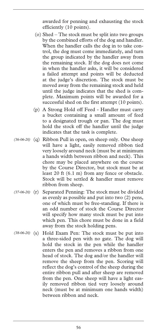awarded for penning and exhausting the stock efficiently (10 points).

- (o) Shed The stock must be split into two groups by the combined efforts of the dog and handler. When the handler calls the dog in to take control, the dog must come immediately, and turn the group indicated by the handler away from the remaining stock. If the dog does not come in when the handler asks, it will be considered a failed attempt and points will be deducted at the judge's discretion. The stock must be moved away from the remaining stock and held until the judge indicates that the shed is complete. Maximum points will be awarded for a successful shed on the first attempt (10 points).
- (p) A Strong Hold off Feed Handler must carry a bucket containing a small amount of feed to a designated trough or pan. The dog must hold the stock off the handler until the judge indicates that the task is complete.
- (q) Ribbon Pull in open, on sheep only. One sheep *(36-06-20)*  will have a light, easily removed ribbon tied very loosely around neck (must be at minimum a hands width between ribbon and neck). This chore may be placed anywhere on the course by the Course Director, but stock must be at least 20 ft (6.1 m) from any fence or obstacle. Stock will be settled & handler must remove ribbon from sheep.
- (37-06-20) (r) Separated Penning: The stock must be divided as evenly as possible and put into two (2) pens, one of which must be free-standing. If there is an odd number of stock the Course Director will specify how many stock must be put into which pen. This chore must be done in a field away from the stock holding pens.
- Hold Exam Pen: The stock must be put into a three-sided pen with no gate. The dog will hold the stock in the pen while the handler enters the pen and removes a ribbon from one head of stock. The dog and/or the handler will remove the sheep from the pen. Scoring will reflect the dog's control of the sheep during the entire ribbon pull and after sheep are removed from the pen. One sheep will have a light easily removed ribbon tied very loosely around neck (must be at minimum one hands width) between ribbon and neck. *(38-06-20)*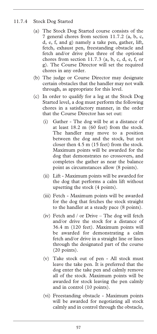## 11.7.4 Stock Dog Started

- (a) The Stock Dog Started course consists of the 7 general chores from section 11.7.2 (a, b, c, d, e, f, and g) namely a take pen, gather, lift, fetch, exhaust pen, freestanding obstacle and fetch and/or drive plus three of the optional chores from section 11.7.3 (a, b, c, d, e, f, or g). The Course Director will set the required chores in any order.
- (b) The judge or Course Director may designate certain obstacles that the handler may not walk through, as appropriate for this level.
- (c) In order to qualify for a leg at the Stock Dog Started level, a dog must perform the following chores in a satisfactory manner, in the order that the Course Director has set out:
	- (i) Gather The dog will be at a distance of at least 18.2 m (60 feet) from the stock. The handler may move to a position between the dog and the stock, but not closer then 4.5 m (15 feet) from the stock. Maximum points will be awarded for the dog that demonstrates no crossovers, and completes the gather as near the balance point as circumstances allow (8 points).
	- (ii) Lift Maximum points will be awarded for the dog that performs a calm lift without upsetting the stock (4 points).
	- (iii) Fetch Maximum points will be awarded for the dog that fetches the stock straight to the handler at a steady pace (8 points).
	- (iv) Fetch and / or Drive The dog will fetch and/or drive the stock for a distance of 36.4 m (120 feet). Maximum points will be awarded for demonstrating a calm fetch and/or drive in a straight line or lines through the designated part of the course (20 points).
	- (v) Take stock out of pen All stock must leave the take pen. It is preferred that the dog enter the take pen and calmly remove all of the stock. Maximum points will be awarded for stock leaving the pen calmly and in control (10 points).
	- (vi) Freestanding obstacle Maximum points will be awarded for negotiating all stock calmly and in control through the obstacle,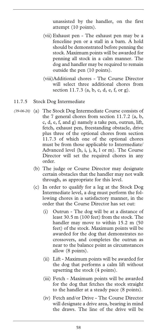unassisted by the handler, on the first attempt (10 points).

- (vii) Exhaust pen The exhaust pen may be a fenceline pen or a stall in a barn. A hold should be demonstrated before penning the stock. Maximum points will be awarded for penning all stock in a calm manner. The dog and handler may be required to remain outside the pen (10 points).
- (viii)Additional chores The Course Director will select three additional chores from section 11.7.3 (a, b, c, d, e, f, or g).

#### 11.7.5 Stock Dog Intermediate

- (a) The Stock Dog Intermediate Course consists of *(39-06-20)* the 7 general chores from section 11.7.2 (a, b, c, d, e, f, and g) namely a take pen, outrun, lift, fetch, exhaust pen, freestanding obstacle, drive plus three of the optional chores from section 11.7.3 of which one of the optional chores must be from those applicable to Intermediate/ Advanced level (h, i, j, k, l or m). The Course Director will set the required chores in any order.
	- (b) The judge or Course Director may designate certain obstacles that the handler may not walk through, as appropriate for this level.
	- (c) In order to qualify for a leg at the Stock Dog Intermediate level, a dog must perform the following chores in a satisfactory manner, in the order that the Course Director has set out:
		- (i) Outrun The dog will be at a distance of least 30.5 m (100 feet) from the stock. The handler may move to within 15.2 m (50 feet) of the stock. Maximum points will be awarded for the dog that demonstrates no crossovers, and completes the outrun as near to the balance point as circumstances allow (8 points).
		- (ii) Lift Maximum points will be awarded for the dog that performs a calm lift without upsetting the stock (4 points).
		- (iii) Fetch Maximum points will be awarded for the dog that fetches the stock straight to the handler at a steady pace (8 points).
		- (iv) Fetch and/or Drive The Course Director will designate a drive area, bearing in mind the draws. The line of the drive will be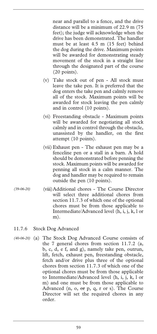near and parallel to a fence, and the drive distance will be a minimum of 22.9 m (75 feet); the judge will acknowledge when the drive has been demonstrated. The handler must be at least 4.5 m (15 feet) behind the dog during the drive. Maximum points will be awarded for demonstrating steady movement of the stock in a straight line through the designated part of the course (20 points).

- (v) Take stock out of pen All stock must leave the take pen. It is preferred that the dog enters the take pen and calmly remove all of the stock. Maximum points will be awarded for stock leaving the pen calmly and in control (10 points).
- (vi) Freestanding obstacle Maximum points will be awarded for negotiating all stock calmly and in control through the obstacle, unassisted by the handler, on the first attempt (10 points).
- (vii) Exhaust pen The exhaust pen may be a fenceline pen or a stall in a barn. A hold should be demonstrated before penning the stock. Maximum points will be awarded for penning all stock in a calm manner. The dog and handler may be required to remain outside the pen (10 points).
- (viii)Additional chores The Course Director will select three additional chores from section 11.7.3 of which one of the optional chores must be from those applicable to Intermediate/Advanced level (h, i, j, k, l or m). *(39-06-20)*

#### 11.7.6 Stock Dog Advanced

(a) The Stock Dog Advanced Course consists of *(40-06-20)* the 7 general chores from section 11.7.2 (a, b, c, d, e f, and g), namely take pen, outrun, lift, fetch, exhaust pen, freestanding obstacle, fetch and/or drive plus three of the optional chores from section 11.7.3 of which one of the optional chores must be from those applicable to Intermediate/Advanced level (h, i, j, k, l or m) and one must be from those applicable to Advanced (n, o, or p, q, r or s). The Course Director will set the required chores in any order.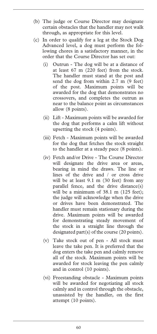- (b) The judge or Course Director may designate certain obstacles that the handler may not walk through, as appropriate for this level.
- (c) In order to qualify for a leg at the Stock Dog Advanced level, a dog must perform the following chores in a satisfactory manner, in the order that the Course Director has set out:
	- (i) Outrun The dog will be at a distance of at least 67 m (220 feet) from the stock. The handler must stand at the post and send the dog from within 2.7 m (9 feet) of the post. Maximum points will be awarded for the dog that demonstrates no crossovers, and completes the outrun as near to the balance point as circumstances allow (8 points).
	- (ii) Lift Maximum points will be awarded for the dog that performs a calm lift without upsetting the stock (4 points).
	- (iii) Fetch Maximum points will be awarded for the dog that fetches the stock straight to the handler at a steady pace (8 points).
	- (iv) Fetch and/or Drive The Course Director will designate the drive area or areas, bearing in mind the draws. The line or lines of the drive and / or cross drive will be at least 9.1 m (30 feet) from any parallel fence, and the drive distance(s) will be a minimum of 38.1 m (125 feet); the judge will acknowledge when the drive or drives have been demonstrated. The handler must remain stationary during the drive. Maximum points will be awarded for demonstrating steady movement of the stock in a straight line through the designated part(s) of the course (20 points).
	- (v) Take stock out of pen All stock must leave the take pen. It is preferred that the dog enters the take pen and calmly remove all of the stock. Maximum points will be awarded for stock leaving the pen calmly and in control (10 points).
	- (vi) Freestanding obstacle Maximum points will be awarded for negotiating all stock calmly and in control through the obstacle, unassisted by the handler, on the first attempt (10 points).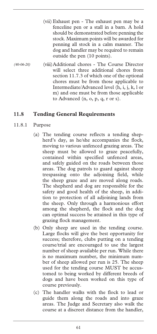- (vii) Exhaust pen The exhaust pen may be a fenceline pen or a stall in a barn. A hold should be demonstrated before penning the stock. Maximum points will be awarded for penning all stock in a calm manner. The dog and handler may be required to remain outside the pen (10 points).
- (viii)Additional chores The Course Director will select three additional chores from section 11.7.3 of which one of the optional chores must be from those applicable to Intermediate/Advanced level (h, i, j, k, l or m) and one must be from those applicable to Advanced (n, o, p, q, r or s). *(40-06-20)*

## **11.8 Tending General Requirements**

### 11.8.1 Purpose

- (a) The tending course reflects a tending shepherd's day, as he/she accompanies the flock, moving to various unfenced grazing areas. The sheep must be allowed to graze peacefully, contained within specified unfenced areas, and safely guided on the roads between those areas. The dog patrols to guard against sheep trespassing onto the adjoining field, while the sheep graze and are moved along roads. The shepherd and dog are responsible for the safety and good health of the sheep, in addition to protection of all adjoining lands from the sheep. Only through a harmonious effort among the shepherd, the flock and the dog can optimal success be attained in this type of grazing flock management.
- (b) Only sheep are used in the tending course. Large flocks will give the best opportunity for success; therefore, clubs putting on a tending course/trial are encouraged to use the largest number of sheep available per run. While there is no maximum number, the minimum number of sheep allowed per run is 25. The sheep used for the tending course MUST be accustomed to being worked by different breeds of dogs and have been worked on this type of course previously.
- (c) The handler walks with the flock to lead or guide them along the roads and into graze areas. The Judge and Secretary also walk the course at a discreet distance from the handler,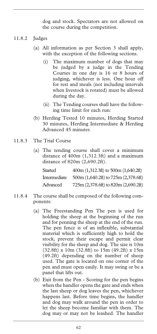dog and stock. Spectators are not allowed on the course during the competition.

### 11.8.2 Judges

- (a) All information as per Section 3 shall apply, with the exception of the following sections.
	- (i) The maximum number of dogs that may be judged by a judge in the Tending Courses in one day is 16 or 8 hours of judging, whichever is less. One hour off for rest and meals (not including intervals when livestock is rotated) must be allowed during the day.
	- (ii) The Tending courses shall have the following time limit for each run:
- (b) Herding Tested 10 minutes, Herding Started 30 minutes, Herding Intermediate & Herding Advanced 45 minutes
- 11.8.3 The Trial Course
	- (a) The tending course shall cover a minimum distance of 400m (1,312.3ft) and a maximum distance of 820m (2,690.2ft).

| Started      | $400m (1,312.3ft)$ to $500m (1,640.2ft)$ |
|--------------|------------------------------------------|
| Intermediate | $500m (1,640.2f)$ to $725m (2,378.6f)$   |
| Advanced     | $725m (2,378.6f)$ to $820m (2,690.2f)$   |

- 11.8.4 The course shall be composed of the following components:
	- (a) The Freestanding Pen The pen is used for holding the sheep at the beginning of the run and for penning the sheep at the end of the run. The pen fence is of an inflexible, substantial material which is sufficiently high to hold the stock, prevent their escape and permit clear visibility for the sheep and dog. The size is 10m (32.8ft) x 10m (32.8ft) to 15m (49.2ft) x 15m (49.2ft) depending on the number of sheep used. The gate is located on one corner of the pen and must open easily. It may swing or be a panel that lifts out.
	- (b) Exit from the Pen Scoring for the pen begins when the handler opens the gate and ends when the last sheep or dog leaves the pen, whichever happens last. Before time begins, the handler and dog may walk around the pen in order to let the sheep become familiar with them. The dog may or may not be leashed. The handler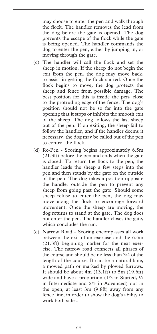may choose to enter the pen and walk through the flock. The handler removes the lead from the dog before the gate is opened. The dog prevents the escape of the flock while the gate is being opened. The handler commands the dog to enter the pen, either by jumping in, or moving through the gate.

- (c) The handler will call the flock and set the sheep in motion. If the sheep do not begin the exit from the pen, the dog may move back, to assist in getting the flock started. Once the flock begins to move, the dog protects the sheep and fence from possible damage. The best position for this is inside the pen, close to the protruding edge of the fence. The dog's position should not be so far into the gate opening that it stops or inhibits the smooth exit of the sheep. The dog follows the last sheep out of the pen. If on exiting, the sheep fail to follow the handler, and if the handler deems it necessary, the dog may be called out of the pen to control the flock.
- (d) Re-Pen Scoring begins approximately 6.5m (21.3ft) before the pen and ends when the gate is closed. To return the flock to the pen, the handler leads the sheep a few steps into the pen and then stands by the gate on the outside of the pen. The dog takes a position opposite the handler outside the pen to prevent any sheep from going past the gate. Should some sheep refuse to enter the pen, the dog may move along the flock to encourage forward movement. Once the sheep are moving, the dog returns to stand at the gate. The dog does not enter the pen. The handler closes the gate, which concludes the run.
- (e) Narrow Road Scoring encompasses all work between the exit of an exercise and the 6.5m (21.3ft) beginning marker for the next exercise. The narrow road connects all phases of the course and should be no less than 3/4 of the length of the course. It can be a natural lane, a mowed path or marked by plowed furrows. It should be about 4m (13.1ft) to 5m (19.6ft) wide and have a proportion  $(1/3$  in Started,  $\frac{1}{2}$ in Intermediate and 2/3 in Advanced) out in the open, at least 3m (9.8ft) away from any fence line, in order to show the dog's ability to work both sides.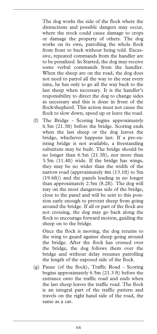The dog works the side of the flock where the distractions and possible dangers may occur, where the stock could cause damage to crops or damage the property of others. The dog works on its own, patrolling the whole flock from front to back without being told. Excessive, repeated commands from the handler are to be penalized. In Started, the dog may receive some verbal commands from the handler. When the sheep are on the road, the dog does not need to patrol all the way to the rear every time, he has only to go all the way back to the last sheep when necessary. It is the handler's responsibility to direct the dog to change sides as necessary and this is done in front of the flock/shepherd. This action must not cause the flock to slow down, speed up or leave the road.

(f) The Bridge - Scoring begins approximately 6.5m (21.3ft) before the bridge. Scoring ends when the last sheep or the dog leaves the bridge, whichever happens last. If a pre-existing bridge is not available, a freestanding substitute may be built. The bridge should be no longer than 6.5m (21.3ft), nor more than 3.5m (11.4ft) wide. If the bridge has wings, they may be no wider than the width of the narrow road (approximately 4m (13.1ft) to 5m (19.6ft)) and the panels leading in no longer than approximately 2.5m (8.2ft). The dog will stay on the most dangerous side of the bridge, close to the panel and will be sent to this position early enough to prevent sheep from going around the bridge. If all or part of the flock are not crossing, the dog may go back along the flock to encourage forward motion, guiding the sheep on to the bridge.

 Once the flock is moving, the dog returns to the wing to guard against sheep going around the bridge. After the flock has crossed over the bridge, the dog follows them over the bridge and without delay resumes patrolling the length of the exposed side of the flock.

(g) Pause (of the flock), Traffic Road - Scoring begins approximately 6.5m (21.3 ft) before the entrance onto the traffic road and ends when the last sheep leaves the traffic road. The flock is an integral part of the traffic pattern and travels on the right hand side of the road, the same as a car.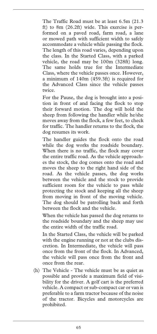The Traffic Road must be at least 6.5m (21.3 ft) to 8m (26.2ft) wide. This exercise is performed on a paved road, farm road, a lane or mowed path with sufficient width to safely accommodate a vehicle while passing the flock. The length of this road varies, depending upon the class. In the Started Class, with a parked vehicle, the road may be 100m (328ft) long. The same holds true for the Intermediate Class, where the vehicle passes once. However, a minimum of 140m (459.3ft) is required for the Advanced Class since the vehicle passes twice.

 For the Pause, the dog is brought into a position in front of and facing the flock to stop their forward motion. The dog will hold the sheep from following the handler while he/she moves away from the flock, a few feet, to check for traffic. The handler returns to the flock, the dog resumes its work.

 The handler guides the flock onto the road while the dog works the roadside boundary. When there is no traffic, the flock may cover the entire traffic road. As the vehicle approaches the stock, the dog comes onto the road and moves the sheep to the right hand side of the road. As the vehicle passes, the dog works between the vehicle and the stock to provide sufficient room for the vehicle to pass while protecting the stock and keeping all the sheep from moving in front of the moving vehicle. The dog should be patrolling back and forth between the flock and the vehicle.

 When the vehicle has passed the dog returns to the roadside boundary and the sheep may use the entire width of the traffic road.

 In the Started Class, the vehicle will be parked with the engine running or not at the clubs discretion. In Intermediate, the vehicle will pass once from the front of the flock. In Advanced, the vehicle will pass once from the front and once from the rear.

(h) The Vehicle - The vehicle must be as quiet as possible and provide a maximum field of visibility for the driver. A golf cart is the preferred vehicle. A compact or sub-compact car or van is preferable to a farm tractor because of the noise of the tractor. Bicycles and motorcycles are prohibited.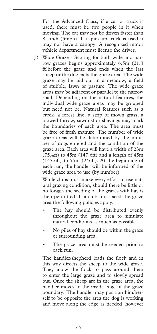For the Advanced Class, if a car or truck is used, there must be two people in it when moving. The car may not be driven faster than 8 km/h (5mph). If a pick-up truck is used it may not have a canopy. A recognized motor vehicle department must license the driver.

(i) Wide Graze - Scoring for both wide and narrow grazes begins approximately 6.5m (21.3 ft)before the graze and ends when the last sheep or the dog exits the graze area. The wide graze may be laid out in a meadow, a field of stubble, lawn or pasture. The wide graze areas may be adjacent or parallel to the narrow road. Depending on the natural features, the individual wide graze areas may be grouped but need not be. Natural features such as a creek, a forest line, a strip of mown grass, a plowed furrow, sawdust or shavings may mark the boundaries of each area. The area must be free of fresh manure. The number of wide graze areas will be determined by the number of dogs entered and the condition of the graze area. Each area will have a width of 23m  $(75.4ft)$  to  $45m$   $(147.6ft)$  and a length of  $45m$ (147.6ft) to 75m (246ft). At the beginning of each run, the handler will be informed of the wide graze area to use (by number).

 While clubs must make every effort to use natural grazing condition, should there be little or no forage, the seeding of the grazes with hay is then permitted. If a club must seed the graze area the following policies apply:

- The hay should be distributed evenly throughout the graze area to simulate natural conditions as much as possible.
- No piles of hay should be within the graze or surrounding area.
- The graze area must be seeded prior to each run.

 The handler/shepherd leads the flock and in this way directs the sheep to the wide graze. They allow the flock to pass around them to enter the large graze and to slowly spread out. Once the sheep are in the graze area, the handler moves to the inside edge of the graze boundary. The handler may position him/herself to be opposite the area the dog is working and move along the edge as needed, however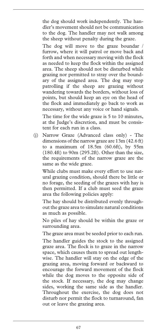the dog should work independently. The handler's movement should not be communication to the dog. The handler may not walk among the sheep without penalty during the graze.

 The dog will move to the graze boundar / furrow, where it will patrol or move back and forth and when necessary moving with the flock as needed to keep the flock within the assigned area. The sheep should not be disturbed while grazing nor permitted to stray over the boundary of the assigned area. The dog may stop patrolling if the sheep are grazing without wandering towards the borders, without loss of points, but should keep an eye on the head of the flock and immediately go back to work as necessary, without any voice or hand signals.

 The time for the wide graze is 5 to 10 minutes, at the Judge's discretion, and must be consistent for each run in a class.

(j) Narrow Graze (Advanced class only) - The dimensions of the narrow graze are 13m (42.6 ft) to a maximum of 18.5m (60.6ft), by 55m (180.4ft) to 90m (295.2ft). Other than the size, the requirements of the narrow graze are the same as the wide graze.

 While clubs must make every effort to use natural grazing condition, should there be little or no forage, the seeding of the grazes with hay is then permitted. If a club must seed the graze area the following policies apply:

 The hay should be distributed evenly throughout the graze area to simulate natural conditions as much as possible.

 No piles of hay should be within the graze or surrounding area.

The graze area must be seeded prior to each run.

 The handler guides the stock to the assigned graze area. The flock is to graze in the narrow space, which causes them to spread out lengthwise. The handler will stay on the edge of the grazing area, moving forward or backward to encourage the forward movement of the flock while the dog moves to the opposite side of the stock. If necessary, the dog may change sides, working the same side as the handler. Throughout the exercise, the dog does not disturb nor permit the flock to turnaround, fan out or leave the grazing area.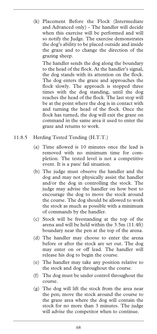(k) Placement Before the Flock (Intermediate and Advanced only) - The handler will decide when this exercise will be performed and will so notify the Judge. The exercise demonstrates the dog's ability to be placed outside and inside the graze and to change the direction of the grazing sheep.

 The handler sends the dog along the boundary to the head of the flock. At the handler's signal, the dog stands with its attention on the flock. The dog enters the graze and approaches the flock slowly. The approach is stopped three times with the dog standing, until the dog reaches the head of the flock. The last stop will be at the point where the dog is in contact with and turning the head of the flock. Once the flock has turned, the dog will exit the graze on command in the same area it used to enter the graze and returns to work.

- 11.8.5 Herding Tested Tending (H.T.T.)
	- (a) Time allowed is 10 minutes once the lead is removed with no minimum time for completion. The tested level is not a competitive event. It is a pass/ fail situation.
	- (b) The judge must observe the handler and the dog and may not physically assist the handler and/or the dog in controlling the stock. The judge may advise the handler on how best to encourage the dog to move the stock around the course. The dog should be allowed to work the stock as much as possible with a minimum of commands by the handler.
	- (c) Stock will be freestanding at the top of the arena and will be held within the 3.5m (11.4ft) boundary near the pen at the top of the arena.
	- (d) The handler may choose to enter the arena before or after the stock are set out. The dog may enter on or off lead. The handler will release his dog to begin the course.
	- (e) The handler may take any position relative to the stock and dog throughout the course.
	- (f) The dog must be under control throughout the course.
	- (g) The dog will lift the stock from the area near the pen; move the stock around the course to the graze area where the dog will contain the stock for no more than 3 minutes. The judge will advise the competitor when to continue.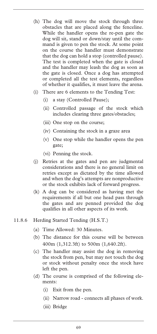- (h) The dog will move the stock through three obstacles that are placed along the fenceline. While the handler opens the re-pen gate the dog will sit, stand or down/stay until the command is given to pen the stock. At some point on the course the handler must demonstrate that the dog can hold a stop (controlled pause). The test is completed when the gate is closed and the handler may leash the dog as soon as the gate is closed. Once a dog has attempted or completed all the test elements, regardless of whether it qualifies, it must leave the arena.
- (i) There are 6 elements to the Tending Test:
	- (i) a stay (Controlled Pause);
	- (ii) Controlled passage of the stock which includes clearing three gates/obstacles;
	- (iii) One stop on the course;
	- (iv) Containing the stock in a graze area
	- (v) One stop while the handler opens the pen gate;
	- (vi) Penning the stock.
- (j) Retries at the gates and pen are judgmental considerations and there is no general limit on retries except as dictated by the time allowed and when the dog's attempts are nonproductive or the stock exhibits lack of forward progress.
- (k) A dog can be considered as having met the requirements if all but one head pass through the gates and are penned provided the dog qualifies in all other aspects of its work.
- 11.8.6 Herding Started Tending (H.S.T.)
	- (a) Time Allowed: 30 Minutes.
	- (b) The distance for this course will be between 400m (1,312.3ft) to 500m (1,640.2ft).
	- (c) The handler may assist the dog in removing the stock from pen, but may not touch the dog or stock without penalty once the stock have left the pen.
	- (d) The course is comprised of the following elements:
		- (i) Exit from the pen.
		- (ii) Narrow road connects all phases of work.
		- (iii) Bridge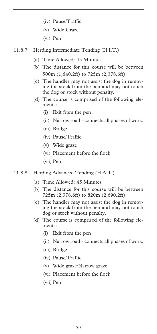- (iv) Pause/Traffic
- (v) Wide Graze
- (vi) Pen
- 11.8.7 Herding Intermediate Tending (H.I.T.)
	- (a) Time Allowed: 45 Minutes
	- (b) The distance for this course will be between 500m (1,640.2ft) to 725m (2,378.6ft).
	- (c) The handler may not assist the dog in removing the stock from the pen and may not touch the dog or stock without penalty.
	- (d) The course is comprised of the following elements:
		- (i) Exit from the pen
		- (ii) Narrow road connects all phases of work.
		- (iii) Bridge
		- (iv) Pause/Traffic
		- (v) Wide graze
		- (vi) Placement before the flock
		- (vii) Pen
- 11.8.8 Herding Advanced Tending (H.A.T.)
	- (a) Time Allowed: 45 Minutes
	- (b) The distance for this course will be between 725m (2,378.6ft) to 820m (2,690.2ft).
	- (c) The handler may not assist the dog in removing the stock from the pen and may not touch dog or stock without penalty.
	- (d) The course is comprised of the following elements:
		- (i) Exit from the pen
		- (ii) Narrow road connects all phases of work.
		- (iii) Bridge
		- (iv) Pause/Traffic
		- (v) Wide graze/Narrow graze
		- (vi) Placement before the flock
		- (vii) Pen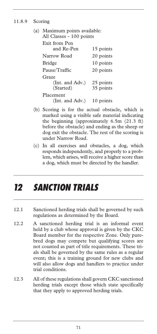#### 11.8.9 Scoring

| (a) Maximum points available:<br>All Classes - 100 points |                        |
|-----------------------------------------------------------|------------------------|
| Exit from Pen<br>and Re-Pen                               | 15 points              |
| Narrow Road                                               | 20 points              |
| <b>Bridge</b>                                             | 10 points              |
| Pause/Traffic                                             | 20 points              |
| Graze<br>(Int. and Adv.)<br>(Started)                     | 25 points<br>35 points |
| Placement<br>(Int. and Adv.)                              | 10 points              |

- (b) Scoring is for the actual obstacle, which is marked using a visible safe material indicating the beginning (approximately 6.5m (21.3 ft) before the obstacle) and ending as the sheep or dog exit the obstacle. The rest of the scoring is under Narrow Road.
- (c) In all exercises and obstacles, a dog, which responds independently, and properly to a problem, which arises, will receive a higher score than a dog, which must be directed by the handler.

### *12 SANCTION TRIALS*

- 12.1 Sanctioned herding trials shall be governed by such regulations as determined by the Board.
- 12.2 A sanctioned herding trial is an informal event held by a club whose approval is given by the CKC Board member for the respective Zone. Only purebred dogs may compete but qualifying scores are not counted as part of title requirements. These trials shall be governed by the same rules as a regular event; this is a training ground for new clubs and will also allow dogs and handlers to practice under trial conditions.
- 12.3 All of these regulations shall govern CKC sanctioned herding trials except those which state specifically that they apply to approved herding trials.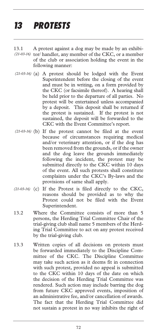## *13 PROTESTS*

- 13.1 A protest against a dog may be made by an exhibi-(21-03-16) tor/ handler, any member of the CKC, or a member of the club or association holding the event in the following manner:
- (a) A protest should be lodged with the Event *(21-03-16)*  Superintendent before the closing of the event and must be in writing, on a form provided by the CKC (or facsimile thereof). A hearing shall be held prior to the departure of all parties. No protest will be entertained unless accompanied by a deposit. This deposit shall be returned if the protest is sustained. If the protest is not sustained, the deposit will be forwarded to the CKC with the Event Committee's report.
- (21-03-16) (b) If the protest cannot be filed at the event because of circumstances requiring medical and/or veterinary attention, or if the dog has been removed from the grounds, or if the owner and the dog leave the grounds immediately following the incident, the protest may be submitted directly to the CKC within 10 days of the event. All such protests shall constitute complaints under the CKC's By-laws and the provisions of same shall apply.
- (21-03-16) (c) If the Protest is filed directly to the CKC, reasons should be provided as to why the Protest could not be filed with the Event Superintendent.
- 13.2 Where the Committee consists of more than 5 persons, the Herding Trial Committee Chair of the trial-giving club shall name 5 members of the Herding Trial Committee to act on any protest received by the trial-giving club.
- 13.3 Written copies of all decisions on protests must be forwarded immediately to the Discipline Committee of the CKC. The Discipline Committee may take such action as it deems fit in connection with such protest, provided no appeal is submitted to the CKC within 10 days of the date on which the decision of the Herding Trial Committee was rendered. Such action may include barring the dog from future CKC approved events, imposition of an administrative fee, and/or cancellation of awards. The fact that the Herding Trial Committee did not sustain a protest in no way inhibits the right of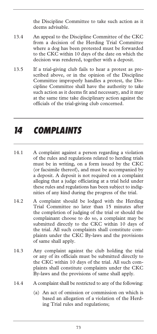the Discipline Committee to take such action as it deems advisable.

- 13.4 An appeal to the Discipline Committee of the CKC from a decision of the Herding Trial Committee where a dog has been protested must be forwarded to the CKC within 10 days of the date on which the decision was rendered, together with a deposit.
- 13.5 If a trial-giving club fails to hear a protest as prescribed above, or in the opinion of the Discipline Committee improperly handles a protest, the Discipline Committee shall have the authority to take such action as it deems fit and necessary, and it may at the same time take disciplinary action against the officials of the trial-giving club concerned.

## *14 COMPLAINTS*

- 14.1 A complaint against a person regarding a violation of the rules and regulations related to herding trials must be in writing, on a form issued by the CKC (or facsimile thereof), and must be accompanied by a deposit. A deposit is not required on a complaint alleging that a judge officiating at a trial held under these rules and regulations has been subject to indignities of any kind during the progress of the trial.
- 14.2 A complaint should be lodged with the Herding Trial Committee no later than 15 minutes after the completion of judging of the trial or should the complainant choose to do so, a complaint may be submitted directly to the CKC within 10 days of the trial. All such complaints shall constitute complaints under the CKC By-laws and the provisions of same shall apply.
- 14.3 Any complaint against the club holding the trial or any of its officials must be submitted directly to the CKC within 10 days of the trial. All such complaints shall constitute complaints under the CKC By-laws and the provisions of same shall apply.
- 14.4 A complaint shall be restricted to any of the following:
	- (a) An act of omission or commission on which is based an allegation of a violation of the Herding Trial rules and regulations;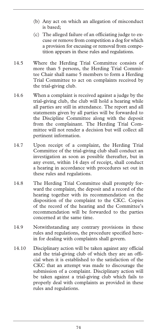- (b) Any act on which an allegation of misconduct is based;
- (c) The alleged failure of an officiating judge to excuse or remove from competition a dog for which a provision for excusing or removal from competition appears in these rules and regulations.
- 14.5 Where the Herding Trial Committee consists of more than 5 persons, the Herding Trial Committee Chair shall name 5 members to form a Herding Trial Committee to act on complaints received by the trial-giving club.
- 14.6 When a complaint is received against a judge by the trial-giving club, the club will hold a hearing while all parties are still in attendance. The report and all statements given by all parties will be forwarded to the Discipline Committee along with the deposit from the complainant. The Herding Trial Committee will not render a decision but will collect all pertinent information.
- 14.7 Upon receipt of a complaint, the Herding Trial Committee of the trial-giving club shall conduct an investigation as soon as possible thereafter, but in any event, within 14 days of receipt, shall conduct a hearing in accordance with procedures set out in these rules and regulations.
- 14.8 The Herding Trial Committee shall promptly forward the complaint, the deposit and a record of the hearing together with its recommendation on the disposition of the complaint to the CKC. Copies of the record of the hearing and the Committee's recommendation will be forwarded to the parties concerned at the same time.
- 14.9 Notwithstanding any contrary provisions in these rules and regulations, the procedure specified herein for dealing with complaints shall govern.
- 14.10 Disciplinary action will be taken against any official and the trial-giving club of which they are an official when it is established to the satisfaction of the CKC that an attempt was made to discourage the submission of a complaint. Disciplinary action will be taken against a trial-giving club which fails to properly deal with complaints as provided in these rules and regulations.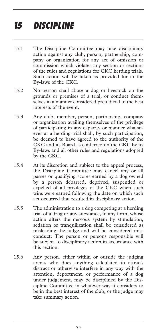## *15 DISCIPLINE*

- 15.1 The Discipline Committee may take disciplinary action against any club, person, partnership, company or organization for any act of omission or commission which violates any section or sections of the rules and regulations for CKC herding trials. Such action will be taken as provided for in the By-laws of the CKC.
- 15.2 No person shall abuse a dog or livestock on the grounds or premises of a trial, or conduct themselves in a manner considered prejudicial to the best interests of the event.
- 15.3 Any club, member, person, partnership, company or organization availing themselves of the privilege of participating in any capacity or manner whatsoever at a herding trial shall, by such participation, be deemed to have agreed to the authority of the CKC and its Board as conferred on the CKC by its By-laws and all other rules and regulations adopted by the CKC.
- 15.4 At its discretion and subject to the appeal process, the Discipline Committee may cancel any or all passes or qualifying scores earned by a dog owned by a person debarred, deprived, suspended or expelled of all privileges of the CKC when such wins were earned following the date on which such act occurred that resulted in disciplinary action.
- 15.5 The administration to a dog competing at a herding trial of a drug or any substance, in any form, whose action alters the nervous system by stimulation, sedation or tranquilization shall be considered as misleading the judge and will be considered misconduct. The person or persons responsible will be subject to disciplinary action in accordance with this section.
- 15.6 Any person, either within or outside the judging arena, who does anything calculated to attract, distract or otherwise interfere in any way with the attention, deportment, or performance of a dog under judgement, may be disciplined by the Discipline Committee in whatever way it considers to be in the best interest of the club, or the judge may take summary action.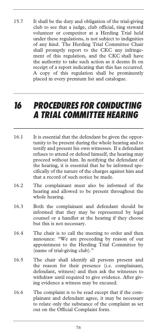15.7 It shall be the duty and obligation of the trial-giving club to see that a judge, club official, ring steward volunteer or competitor at a Herding Trial held under these regulations, is not subject to indignities of any kind. The Herding Trial Committee Chair shall promptly report to the CKC any infringement of this regulation, and the CKC shall have the authority to take such action as it deems fit on receipt of a report indicating that this has occurred. A copy of this regulation shall be prominently placed in every premium list and catalogue.

#### *16 PROCEDURES FOR CONDUCTING A TRIAL COMMITTEE HEARING*

- 16.1 It is essential that the defendant be given the opportunity to be present during the whole hearing and to testify and present his own witnesses. If a defendant refuses to attend or defend himself, the hearing may proceed without him. In notifying the defendant of the hearing, it is essential that he be informed specifically of the nature of the charges against him and that a record of such notice be made.
- 16.2 The complainant must also be informed of the hearing and allowed to be present throughout the whole hearing.
- 16.3 Both the complainant and defendant should be informed that they may be represented by legal counsel or a handler at the hearing if they choose but this is not necessary.
- 16.4 The chair is to call the meeting to order and then announce: "We are proceeding by reason of our appointment to the Herding Trial Committee by (name of trial-giving club)."
- 16.5 The chair shall identify all persons present and the reason for their presence (i.e. complainant, defendant, witness) and then ask the witnesses to withdraw until required to give evidence. After giving evidence a witness may be excused.
- 16.6 The complaint is to be read except that if the complainant and defendant agree, it may be necessary to relate only the substance of the complaint as set out on the Official Complaint form.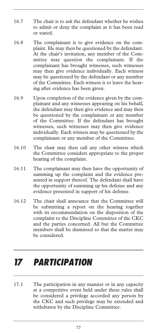- 16.7 The chair is to ask the defendant whether he wishes to admit or deny the complaint as it has been read or stated.
- 16.8 The complainant is to give evidence on the complaint. He may then be questioned by the defendant. At the chair's invitation, any member of the Committee may question the complainant. If the complainant has brought witnesses, such witnesses may then give evidence individually. Each witness may be questioned by the defendant or any member of the Committee. Each witness is to leave the hearing after evidence has been given.
- 16.9 Upon completion of the evidence given by the complainant and any witnesses appearing on his behalf, the defendant may then give evidence and may then be questioned by the complainant or any member of the Committee. If the defendant has brought witnesses, such witnesses may then give evidence individually. Each witness may be questioned by the complainant or any member of the Committee.
- 16.10 The chair may then call any other witness which the Committee considers appropriate to the proper hearing of the complaint.
- 16.11 The complainant may then have the opportunity of summing up the complaint and the evidence presented in support thereof. The defendant shall have the opportunity of summing up his defense and any evidence presented in support of his defense.
- 16.12 The chair shall announce that the Committee will be submitting a report on the hearing together with its recommendation on the disposition of the complaint to the Discipline Committee of the CKC and the parties concerned. All but the Committee members shall be dismissed so that the matter may be considered.

### *17 PARTICIPATION*

17.1 The participation in any manner or in any capacity at a competitive event held under these rules shall be considered a privilege accorded any person by the CKC and such privilege may be extended and withdrawn by the Discipline Committee.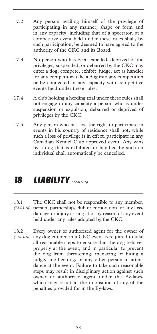- 17.2 Any person availing himself of the privilege of participating in any manner, shape or form and in any capacity, including that of a spectator, at a competitive event held under these rules shall, by such participation, be deemed to have agreed to the authority of the CKC and its Board.
- 17.3 No person who has been expelled, deprived of the privileges, suspended, or debarred by the CKC may enter a dog, compete, exhibit, judge, act as handler for any competitor, take a dog into any competition or be connected in any capacity with competitive events held under these rules.
- 17.4 A club holding a herding trial under these rules shall not engage in any capacity a person who is under suspension or expulsion, debarred or deprived of privileges by the CKC.
- 17.5 Any person who has lost the right to participate in events in his country of residence shall not, while such a loss of privilege is in effect, participate in any Canadian Kennel Club approved event. Any wins by a dog that is exhibited or handled by such an individual shall automatically be cancelled.

## *18 LIABILITY (22-03-16)*

- 18.1 The CKC shall not be responsible to any member, person, partnership, club or corporation for any loss, *(22-03-16)*  damage or injury arising at or by reason of any event held under any rules adopted by the CKC.
- 18.2 Every owner or authorized agent for the owner of any dog entered in a CKC event is required to take all reasonable steps to ensure that the dog behaves properly at the event, and in particular to prevent the dog from threatening, menacing or biting a judge, another dog, or any other person in attendance at the event. Failure to take such reasonable steps may result in disciplinary action against such owner or authorized agent under the By-laws, which may result in the imposition of any of the penalties provided for in the By-laws. *(22-03-16)*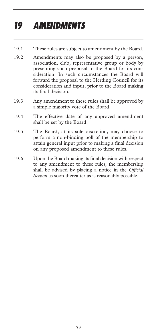# *19 AMENDMENTS*

- 19.1 These rules are subject to amendment by the Board.
- 19.2 Amendments may also be proposed by a person, association, club, representative group or body by presenting such proposal to the Board for its consideration. In such circumstances the Board will forward the proposal to the Herding Council for its consideration and input, prior to the Board making its final decision.
- 19.3 Any amendment to these rules shall be approved by a simple majority vote of the Board.
- 19.4 The effective date of any approved amendment shall be set by the Board.
- 19.5 The Board, at its sole discretion, may choose to perform a non-binding poll of the membership to attain general input prior to making a final decision on any proposed amendment to these rules.
- 19.6 Upon the Board making its final decision with respect to any amendment to these rules, the membership shall be advised by placing a notice in the *Official Section* as soon thereafter as is reasonably possible.